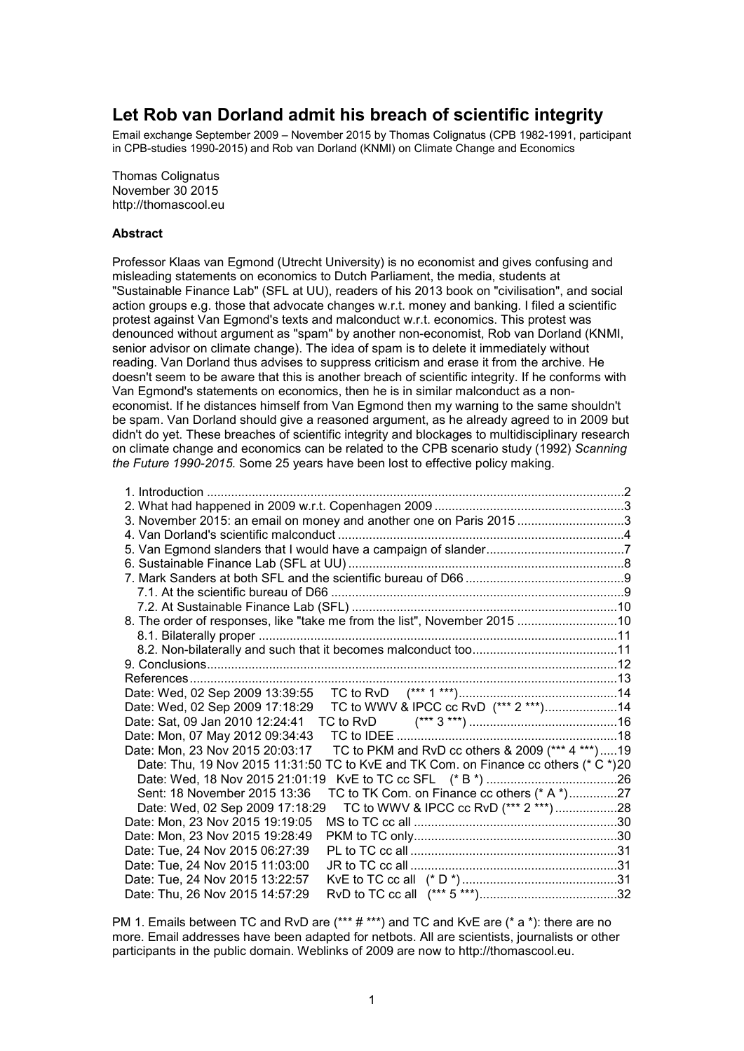# **Let Rob van Dorland admit his breach of scientific integrity**

Email exchange September 2009 – November 2015 by Thomas Colignatus (CPB 1982-1991, participant in CPB-studies 1990-2015) and Rob van Dorland (KNMI) on Climate Change and Economics

Thomas Colignatus November 30 2015 http://thomascool.eu

### **Abstract**

Professor Klaas van Egmond (Utrecht University) is no economist and gives confusing and misleading statements on economics to Dutch Parliament, the media, students at "Sustainable Finance Lab" (SFL at UU), readers of his 2013 book on "civilisation", and social action groups e.g. those that advocate changes w.r.t. money and banking. I filed a scientific protest against Van Egmond's texts and malconduct w.r.t. economics. This protest was denounced without argument as "spam" by another non-economist, Rob van Dorland (KNMI, senior advisor on climate change). The idea of spam is to delete it immediately without reading. Van Dorland thus advises to suppress criticism and erase it from the archive. He doesn't seem to be aware that this is another breach of scientific integrity. If he conforms with Van Egmond's statements on economics, then he is in similar malconduct as a noneconomist. If he distances himself from Van Egmond then my warning to the same shouldn't be spam. Van Dorland should give a reasoned argument, as he already agreed to in 2009 but didn't do yet. These breaches of scientific integrity and blockages to multidisciplinary research on climate change and economics can be related to the CPB scenario study (1992) *Scanning the Future 1990-2015.* Some 25 years have been lost to effective policy making.

|                                                                           | 3. November 2015: an email on money and another one on Paris 2015 3                  |  |  |  |
|---------------------------------------------------------------------------|--------------------------------------------------------------------------------------|--|--|--|
|                                                                           |                                                                                      |  |  |  |
|                                                                           |                                                                                      |  |  |  |
|                                                                           |                                                                                      |  |  |  |
|                                                                           |                                                                                      |  |  |  |
|                                                                           |                                                                                      |  |  |  |
|                                                                           |                                                                                      |  |  |  |
| 8. The order of responses, like "take me from the list", November 2015 10 |                                                                                      |  |  |  |
|                                                                           |                                                                                      |  |  |  |
|                                                                           |                                                                                      |  |  |  |
|                                                                           |                                                                                      |  |  |  |
|                                                                           |                                                                                      |  |  |  |
|                                                                           |                                                                                      |  |  |  |
| Date: Wed, 02 Sep 2009 17:18:29                                           |                                                                                      |  |  |  |
|                                                                           |                                                                                      |  |  |  |
| Date: Mon, 07 May 2012 09:34:43                                           |                                                                                      |  |  |  |
| Date: Mon, 23 Nov 2015 20:03:17                                           | TC to PKM and RvD cc others & 2009 (*** 4 ***)19                                     |  |  |  |
|                                                                           | Date: Thu, 19 Nov 2015 11:31:50 TC to KvE and TK Com. on Finance cc others (* C *)20 |  |  |  |
| Date: Wed, 18 Nov 2015 21:01:19                                           |                                                                                      |  |  |  |
| Sent: 18 November 2015 13:36                                              | TC to TK Com. on Finance cc others (* A *)27                                         |  |  |  |
| Date: Wed, 02 Sep 2009 17:18:29                                           | TC to WWV & IPCC cc RvD (*** 2 ***)28                                                |  |  |  |
| Date: Mon, 23 Nov 2015 19:19:05                                           |                                                                                      |  |  |  |
| Date: Mon, 23 Nov 2015 19:28:49                                           |                                                                                      |  |  |  |
| Date: Tue, 24 Nov 2015 06:27:39                                           |                                                                                      |  |  |  |
| Date: Tue, 24 Nov 2015 11:03:00                                           |                                                                                      |  |  |  |
| Date: Tue, 24 Nov 2015 13:22:57                                           |                                                                                      |  |  |  |
| Date: Thu, 26 Nov 2015 14:57:29                                           |                                                                                      |  |  |  |

PM 1. Emails between TC and RvD are (\*\*\* # \*\*\*) and TC and KvE are (\* a \*): there are no more. Email addresses have been adapted for netbots. All are scientists, journalists or other participants in the public domain. Weblinks of 2009 are now to http://thomascool.eu.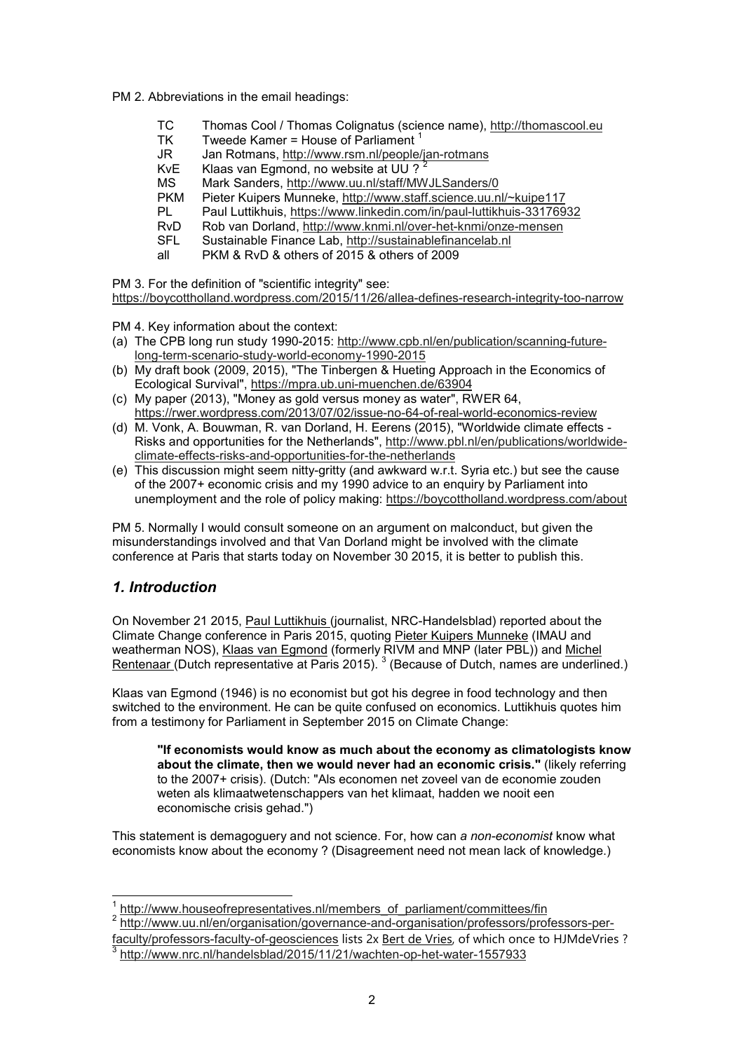PM 2. Abbreviations in the email headings:

- TC Thomas Cool / Thomas Colignatus (science name), http://thomascool.eu<br>TK Tweede Kamer = House of Parliament <sup>1</sup>
- Tweede Kamer = House of Parliament<sup>1</sup>
- JR Jan Rotmans, http://www.rsm.nl/people/jan-rotmans
- KvE Klaas van Egmond, no website at UU ?<br>MS Mark Sanders, http://www.uu.nl/staff/MV
- MS Mark Sanders, http://www.uu.nl/staff/MWJLSanders/0<br>PKM Pieter Kuipers Munneke http://www.staff.science.uu.n
- PKM Pieter Kuipers Munneke, http://www.staff.science.uu.nl/~kuipe117<br>Pl Paul Luttikhuis https://www.linkedin.com/in/paul-luttikhuis-331769
- PL Paul Luttikhuis, https://www.linkedin.com/in/paul-luttikhuis-33176932<br>RyD Rob van Dorland, http://www.knmi.nl/over-het-knmi/onze-mensen
- RvD Rob van Dorland, http://www.knmi.nl/over-het-knmi/onze-mensen<br>SFL Sustainable Finance Lab. http://sustainablefinancelab.nl
- Sustainable Finance Lab, http://sustainablefinancelab.nl
- all PKM & RvD & others of 2015 & others of 2009

PM 3. For the definition of "scientific integrity" see:

https://boycottholland.wordpress.com/2015/11/26/allea-defines-research-integrity-too-narrow

PM 4. Key information about the context:

- (a) The CPB long run study 1990-2015: http://www.cpb.nl/en/publication/scanning-futurelong-term-scenario-study-world-economy-1990-2015
- (b) My draft book (2009, 2015), "The Tinbergen & Hueting Approach in the Economics of Ecological Survival", https://mpra.ub.uni-muenchen.de/63904
- (c) My paper (2013), "Money as gold versus money as water", RWER 64, https://rwer.wordpress.com/2013/07/02/issue-no-64-of-real-world-economics-review
- (d) M. Vonk, A. Bouwman, R. van Dorland, H. Eerens (2015), "Worldwide climate effects Risks and opportunities for the Netherlands", http://www.pbl.nl/en/publications/worldwideclimate-effects-risks-and-opportunities-for-the-netherlands
- (e) This discussion might seem nitty-gritty (and awkward w.r.t. Syria etc.) but see the cause of the 2007+ economic crisis and my 1990 advice to an enquiry by Parliament into unemployment and the role of policy making: https://boycottholland.wordpress.com/about

PM 5. Normally I would consult someone on an argument on malconduct, but given the misunderstandings involved and that Van Dorland might be involved with the climate conference at Paris that starts today on November 30 2015, it is better to publish this.

## *1. Introduction*

On November 21 2015, Paul Luttikhuis (journalist, NRC-Handelsblad) reported about the Climate Change conference in Paris 2015, quoting Pieter Kuipers Munneke (IMAU and weatherman NOS), Klaas van Egmond (formerly RIVM and MNP (later PBL)) and Michel Rentenaar (Dutch representative at Paris 2015).<sup>3</sup> (Because of Dutch, names are underlined.)

Klaas van Egmond (1946) is no economist but got his degree in food technology and then switched to the environment. He can be quite confused on economics. Luttikhuis quotes him from a testimony for Parliament in September 2015 on Climate Change:

**"If economists would know as much about the economy as climatologists know about the climate, then we would never had an economic crisis."** (likely referring to the 2007+ crisis). (Dutch: "Als economen net zoveel van de economie zouden weten als klimaatwetenschappers van het klimaat, hadden we nooit een economische crisis gehad.")

This statement is demagoguery and not science. For, how can *a non-economist* know what economists know about the economy ? (Disagreement need not mean lack of knowledge.)

j 1 http://www.houseofrepresentatives.nl/members\_of\_parliament/committees/fin

<sup>2</sup> http://www.uu.nl/en/organisation/governance-and-organisation/professors/professors-perfaculty/professors-faculty-of-geosciences lists 2x Bert de Vries, of which once to HJMdeVries ?

<sup>3</sup> http://www.nrc.nl/handelsblad/2015/11/21/wachten-op-het-water-1557933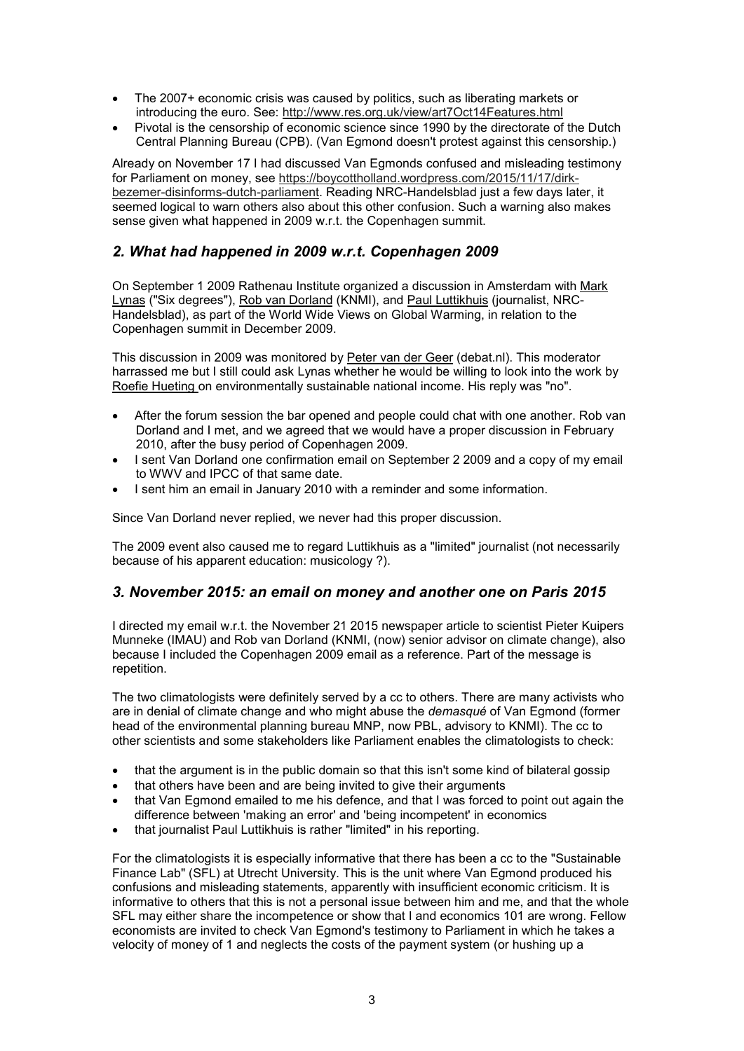- The 2007+ economic crisis was caused by politics, such as liberating markets or introducing the euro. See: http://www.res.org.uk/view/art7Oct14Features.html
- Pivotal is the censorship of economic science since 1990 by the directorate of the Dutch Central Planning Bureau (CPB). (Van Egmond doesn't protest against this censorship.)

Already on November 17 I had discussed Van Egmonds confused and misleading testimony for Parliament on money, see https://boycottholland.wordpress.com/2015/11/17/dirkbezemer-disinforms-dutch-parliament. Reading NRC-Handelsblad just a few days later, it seemed logical to warn others also about this other confusion. Such a warning also makes sense given what happened in 2009 w.r.t. the Copenhagen summit.

## *2. What had happened in 2009 w.r.t. Copenhagen 2009*

On September 1 2009 Rathenau Institute organized a discussion in Amsterdam with Mark Lynas ("Six degrees"), Rob van Dorland (KNMI), and Paul Luttikhuis (journalist, NRC-Handelsblad), as part of the World Wide Views on Global Warming, in relation to the Copenhagen summit in December 2009.

This discussion in 2009 was monitored by Peter van der Geer (debat.nl). This moderator harrassed me but I still could ask Lynas whether he would be willing to look into the work by Roefie Hueting on environmentally sustainable national income. His reply was "no".

- After the forum session the bar opened and people could chat with one another. Rob van Dorland and I met, and we agreed that we would have a proper discussion in February 2010, after the busy period of Copenhagen 2009.
- I sent Van Dorland one confirmation email on September 2 2009 and a copy of my email to WWV and IPCC of that same date.
- I sent him an email in January 2010 with a reminder and some information.

Since Van Dorland never replied, we never had this proper discussion.

The 2009 event also caused me to regard Luttikhuis as a "limited" journalist (not necessarily because of his apparent education: musicology ?).

## *3. November 2015: an email on money and another one on Paris 2015*

I directed my email w.r.t. the November 21 2015 newspaper article to scientist Pieter Kuipers Munneke (IMAU) and Rob van Dorland (KNMI, (now) senior advisor on climate change), also because I included the Copenhagen 2009 email as a reference. Part of the message is repetition.

The two climatologists were definitely served by a cc to others. There are many activists who are in denial of climate change and who might abuse the *demasqué* of Van Egmond (former head of the environmental planning bureau MNP, now PBL, advisory to KNMI). The cc to other scientists and some stakeholders like Parliament enables the climatologists to check:

- that the argument is in the public domain so that this isn't some kind of bilateral gossip
- that others have been and are being invited to give their arguments
- that Van Egmond emailed to me his defence, and that I was forced to point out again the difference between 'making an error' and 'being incompetent' in economics
- that journalist Paul Luttikhuis is rather "limited" in his reporting.

For the climatologists it is especially informative that there has been a cc to the "Sustainable Finance Lab" (SFL) at Utrecht University. This is the unit where Van Egmond produced his confusions and misleading statements, apparently with insufficient economic criticism. It is informative to others that this is not a personal issue between him and me, and that the whole SFL may either share the incompetence or show that I and economics 101 are wrong. Fellow economists are invited to check Van Egmond's testimony to Parliament in which he takes a velocity of money of 1 and neglects the costs of the payment system (or hushing up a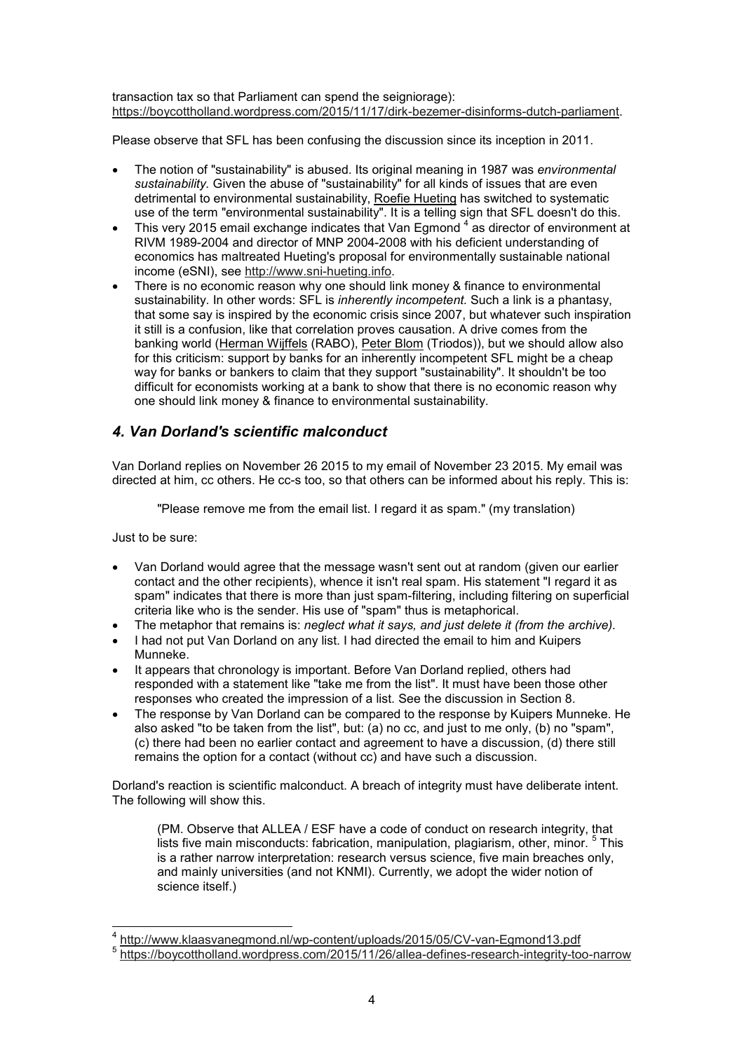transaction tax so that Parliament can spend the seigniorage): https://boycottholland.wordpress.com/2015/11/17/dirk-bezemer-disinforms-dutch-parliament.

Please observe that SFL has been confusing the discussion since its inception in 2011.

- The notion of "sustainability" is abused. Its original meaning in 1987 was *environmental sustainability.* Given the abuse of "sustainability" for all kinds of issues that are even detrimental to environmental sustainability, Roefie Hueting has switched to systematic use of the term "environmental sustainability". It is a telling sign that SFL doesn't do this.
- $\bullet$   $\;$  This very 2015 email exchange indicates that Van Egmond  $^4$  as director of environment at RIVM 1989-2004 and director of MNP 2004-2008 with his deficient understanding of economics has maltreated Hueting's proposal for environmentally sustainable national income (eSNI), see http://www.sni-hueting.info.
- There is no economic reason why one should link money & finance to environmental sustainability. In other words: SFL is *inherently incompetent.* Such a link is a phantasy, that some say is inspired by the economic crisis since 2007, but whatever such inspiration it still is a confusion, like that correlation proves causation. A drive comes from the banking world (Herman Wijffels (RABO), Peter Blom (Triodos)), but we should allow also for this criticism: support by banks for an inherently incompetent SFL might be a cheap way for banks or bankers to claim that they support "sustainability". It shouldn't be too difficult for economists working at a bank to show that there is no economic reason why one should link money & finance to environmental sustainability.

## *4. Van Dorland's scientific malconduct*

Van Dorland replies on November 26 2015 to my email of November 23 2015. My email was directed at him, cc others. He cc-s too, so that others can be informed about his reply. This is:

"Please remove me from the email list. I regard it as spam." (my translation)

Just to be sure:

- Van Dorland would agree that the message wasn't sent out at random (given our earlier contact and the other recipients), whence it isn't real spam. His statement "I regard it as spam" indicates that there is more than just spam-filtering, including filtering on superficial criteria like who is the sender. His use of "spam" thus is metaphorical.
- The metaphor that remains is: *neglect what it says, and just delete it (from the archive).*
- I had not put Van Dorland on any list. I had directed the email to him and Kuipers Munneke.
- It appears that chronology is important. Before Van Dorland replied, others had responded with a statement like "take me from the list". It must have been those other responses who created the impression of a list. See the discussion in Section 8.
- The response by Van Dorland can be compared to the response by Kuipers Munneke. He also asked "to be taken from the list", but: (a) no cc, and just to me only, (b) no "spam", (c) there had been no earlier contact and agreement to have a discussion, (d) there still remains the option for a contact (without cc) and have such a discussion.

Dorland's reaction is scientific malconduct. A breach of integrity must have deliberate intent. The following will show this.

(PM. Observe that ALLEA / ESF have a code of conduct on research integrity, that lists five main misconducts: fabrication, manipulation, plagiarism, other, minor. <sup>5</sup> This is a rather narrow interpretation: research versus science, five main breaches only, and mainly universities (and not KNMI). Currently, we adopt the wider notion of science itself.)

 4 http://www.klaasvanegmond.nl/wp-content/uploads/2015/05/CV-van-Egmond13.pdf 5

https://boycottholland.wordpress.com/2015/11/26/allea-defines-research-integrity-too-narrow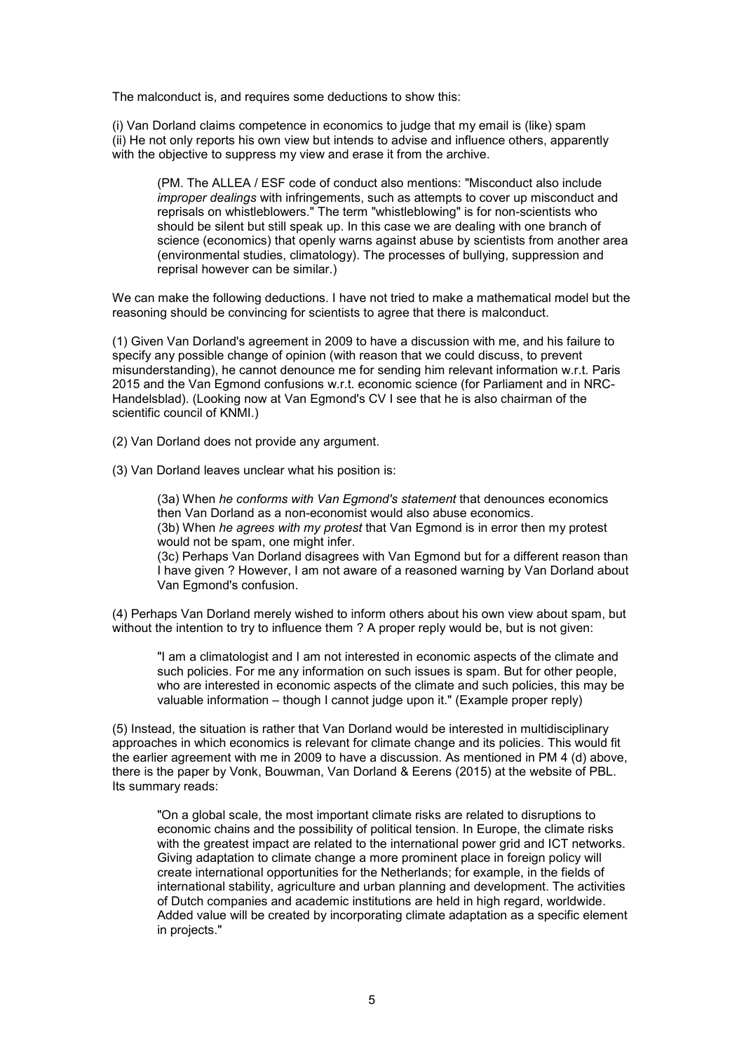The malconduct is, and requires some deductions to show this:

(i) Van Dorland claims competence in economics to judge that my email is (like) spam (ii) He not only reports his own view but intends to advise and influence others, apparently with the objective to suppress my view and erase it from the archive.

(PM. The ALLEA / ESF code of conduct also mentions: "Misconduct also include *improper dealings* with infringements, such as attempts to cover up misconduct and reprisals on whistleblowers." The term "whistleblowing" is for non-scientists who should be silent but still speak up. In this case we are dealing with one branch of science (economics) that openly warns against abuse by scientists from another area (environmental studies, climatology). The processes of bullying, suppression and reprisal however can be similar.)

We can make the following deductions. I have not tried to make a mathematical model but the reasoning should be convincing for scientists to agree that there is malconduct.

(1) Given Van Dorland's agreement in 2009 to have a discussion with me, and his failure to specify any possible change of opinion (with reason that we could discuss, to prevent misunderstanding), he cannot denounce me for sending him relevant information w.r.t. Paris 2015 and the Van Egmond confusions w.r.t. economic science (for Parliament and in NRC-Handelsblad). (Looking now at Van Egmond's CV I see that he is also chairman of the scientific council of KNMI.)

(2) Van Dorland does not provide any argument.

(3) Van Dorland leaves unclear what his position is:

(3a) When *he conforms with Van Egmond's statement* that denounces economics then Van Dorland as a non-economist would also abuse economics. (3b) When *he agrees with my protest* that Van Egmond is in error then my protest would not be spam, one might infer. (3c) Perhaps Van Dorland disagrees with Van Egmond but for a different reason than

I have given ? However, I am not aware of a reasoned warning by Van Dorland about Van Egmond's confusion.

(4) Perhaps Van Dorland merely wished to inform others about his own view about spam, but without the intention to try to influence them ? A proper reply would be, but is not given:

"I am a climatologist and I am not interested in economic aspects of the climate and such policies. For me any information on such issues is spam. But for other people, who are interested in economic aspects of the climate and such policies, this may be valuable information – though I cannot judge upon it." (Example proper reply)

(5) Instead, the situation is rather that Van Dorland would be interested in multidisciplinary approaches in which economics is relevant for climate change and its policies. This would fit the earlier agreement with me in 2009 to have a discussion. As mentioned in PM 4 (d) above, there is the paper by Vonk, Bouwman, Van Dorland & Eerens (2015) at the website of PBL. Its summary reads:

"On a global scale, the most important climate risks are related to disruptions to economic chains and the possibility of political tension. In Europe, the climate risks with the greatest impact are related to the international power grid and ICT networks. Giving adaptation to climate change a more prominent place in foreign policy will create international opportunities for the Netherlands; for example, in the fields of international stability, agriculture and urban planning and development. The activities of Dutch companies and academic institutions are held in high regard, worldwide. Added value will be created by incorporating climate adaptation as a specific element in projects."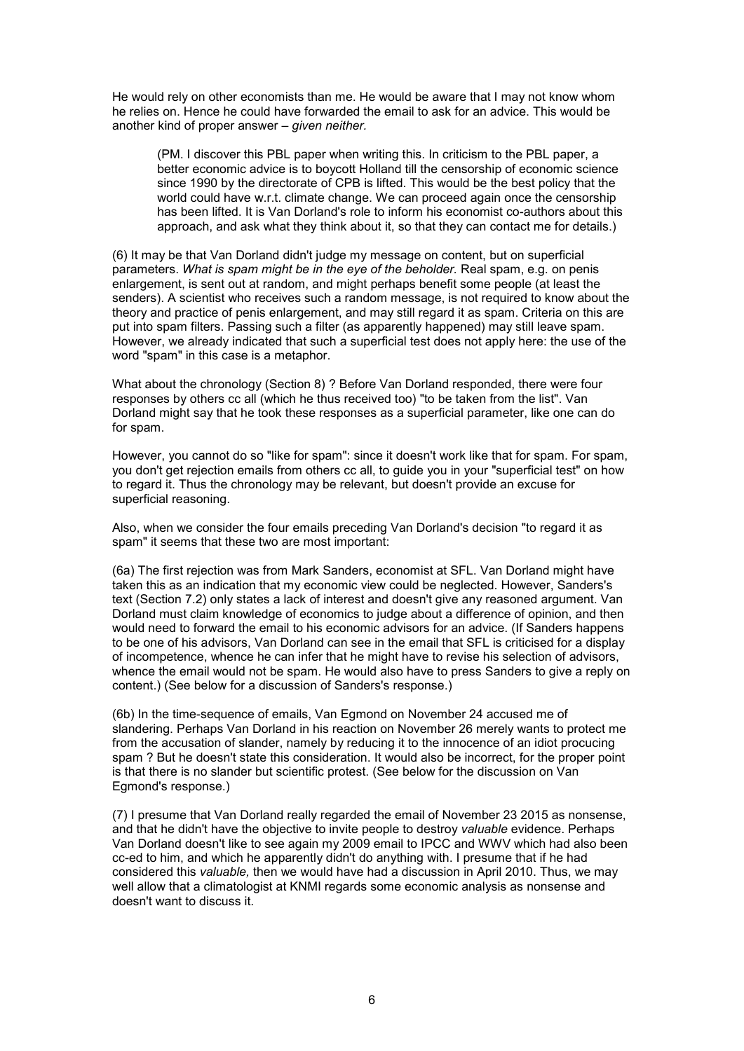He would rely on other economists than me. He would be aware that I may not know whom he relies on. Hence he could have forwarded the email to ask for an advice. This would be another kind of proper answer – *given neither.*

(PM. I discover this PBL paper when writing this. In criticism to the PBL paper, a better economic advice is to boycott Holland till the censorship of economic science since 1990 by the directorate of CPB is lifted. This would be the best policy that the world could have w.r.t. climate change. We can proceed again once the censorship has been lifted. It is Van Dorland's role to inform his economist co-authors about this approach, and ask what they think about it, so that they can contact me for details.)

(6) It may be that Van Dorland didn't judge my message on content, but on superficial parameters. *What is spam might be in the eye of the beholder.* Real spam, e.g. on penis enlargement, is sent out at random, and might perhaps benefit some people (at least the senders). A scientist who receives such a random message, is not required to know about the theory and practice of penis enlargement, and may still regard it as spam. Criteria on this are put into spam filters. Passing such a filter (as apparently happened) may still leave spam. However, we already indicated that such a superficial test does not apply here: the use of the word "spam" in this case is a metaphor.

What about the chronology (Section 8) ? Before Van Dorland responded, there were four responses by others cc all (which he thus received too) "to be taken from the list". Van Dorland might say that he took these responses as a superficial parameter, like one can do for spam.

However, you cannot do so "like for spam": since it doesn't work like that for spam. For spam, you don't get rejection emails from others cc all, to guide you in your "superficial test" on how to regard it. Thus the chronology may be relevant, but doesn't provide an excuse for superficial reasoning.

Also, when we consider the four emails preceding Van Dorland's decision "to regard it as spam" it seems that these two are most important:

(6a) The first rejection was from Mark Sanders, economist at SFL. Van Dorland might have taken this as an indication that my economic view could be neglected. However, Sanders's text (Section 7.2) only states a lack of interest and doesn't give any reasoned argument. Van Dorland must claim knowledge of economics to judge about a difference of opinion, and then would need to forward the email to his economic advisors for an advice. (If Sanders happens to be one of his advisors, Van Dorland can see in the email that SFL is criticised for a display of incompetence, whence he can infer that he might have to revise his selection of advisors, whence the email would not be spam. He would also have to press Sanders to give a reply on content.) (See below for a discussion of Sanders's response.)

(6b) In the time-sequence of emails, Van Egmond on November 24 accused me of slandering. Perhaps Van Dorland in his reaction on November 26 merely wants to protect me from the accusation of slander, namely by reducing it to the innocence of an idiot procucing spam ? But he doesn't state this consideration. It would also be incorrect, for the proper point is that there is no slander but scientific protest. (See below for the discussion on Van Egmond's response.)

(7) I presume that Van Dorland really regarded the email of November 23 2015 as nonsense, and that he didn't have the objective to invite people to destroy *valuable* evidence. Perhaps Van Dorland doesn't like to see again my 2009 email to IPCC and WWV which had also been cc-ed to him, and which he apparently didn't do anything with. I presume that if he had considered this *valuable,* then we would have had a discussion in April 2010. Thus, we may well allow that a climatologist at KNMI regards some economic analysis as nonsense and doesn't want to discuss it.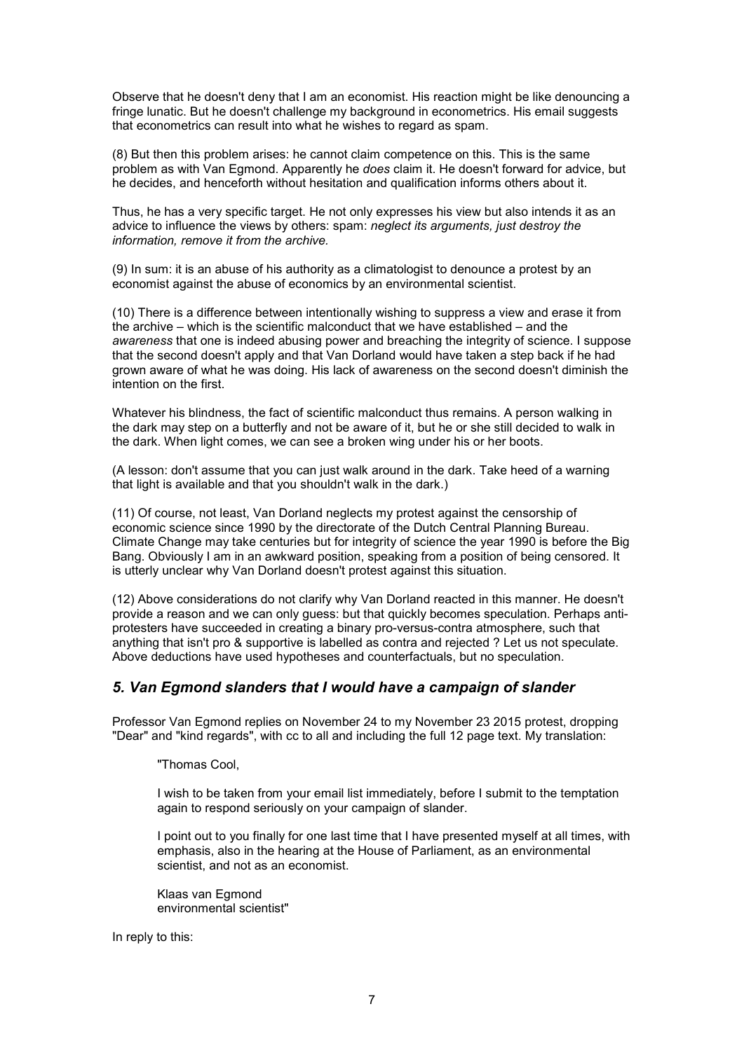Observe that he doesn't deny that I am an economist. His reaction might be like denouncing a fringe lunatic. But he doesn't challenge my background in econometrics. His email suggests that econometrics can result into what he wishes to regard as spam.

(8) But then this problem arises: he cannot claim competence on this. This is the same problem as with Van Egmond. Apparently he *does* claim it. He doesn't forward for advice, but he decides, and henceforth without hesitation and qualification informs others about it.

Thus, he has a very specific target. He not only expresses his view but also intends it as an advice to influence the views by others: spam: *neglect its arguments, just destroy the information, remove it from the archive.*

(9) In sum: it is an abuse of his authority as a climatologist to denounce a protest by an economist against the abuse of economics by an environmental scientist.

(10) There is a difference between intentionally wishing to suppress a view and erase it from the archive – which is the scientific malconduct that we have established – and the *awareness* that one is indeed abusing power and breaching the integrity of science. I suppose that the second doesn't apply and that Van Dorland would have taken a step back if he had grown aware of what he was doing. His lack of awareness on the second doesn't diminish the intention on the first.

Whatever his blindness, the fact of scientific malconduct thus remains. A person walking in the dark may step on a butterfly and not be aware of it, but he or she still decided to walk in the dark. When light comes, we can see a broken wing under his or her boots.

(A lesson: don't assume that you can just walk around in the dark. Take heed of a warning that light is available and that you shouldn't walk in the dark.)

(11) Of course, not least, Van Dorland neglects my protest against the censorship of economic science since 1990 by the directorate of the Dutch Central Planning Bureau. Climate Change may take centuries but for integrity of science the year 1990 is before the Big Bang. Obviously I am in an awkward position, speaking from a position of being censored. It is utterly unclear why Van Dorland doesn't protest against this situation.

(12) Above considerations do not clarify why Van Dorland reacted in this manner. He doesn't provide a reason and we can only guess: but that quickly becomes speculation. Perhaps antiprotesters have succeeded in creating a binary pro-versus-contra atmosphere, such that anything that isn't pro & supportive is labelled as contra and rejected ? Let us not speculate. Above deductions have used hypotheses and counterfactuals, but no speculation.

## *5. Van Egmond slanders that I would have a campaign of slander*

Professor Van Egmond replies on November 24 to my November 23 2015 protest, dropping "Dear" and "kind regards", with cc to all and including the full 12 page text. My translation:

"Thomas Cool,

I wish to be taken from your email list immediately, before I submit to the temptation again to respond seriously on your campaign of slander.

I point out to you finally for one last time that I have presented myself at all times, with emphasis, also in the hearing at the House of Parliament, as an environmental scientist, and not as an economist.

Klaas van Egmond environmental scientist"

In reply to this: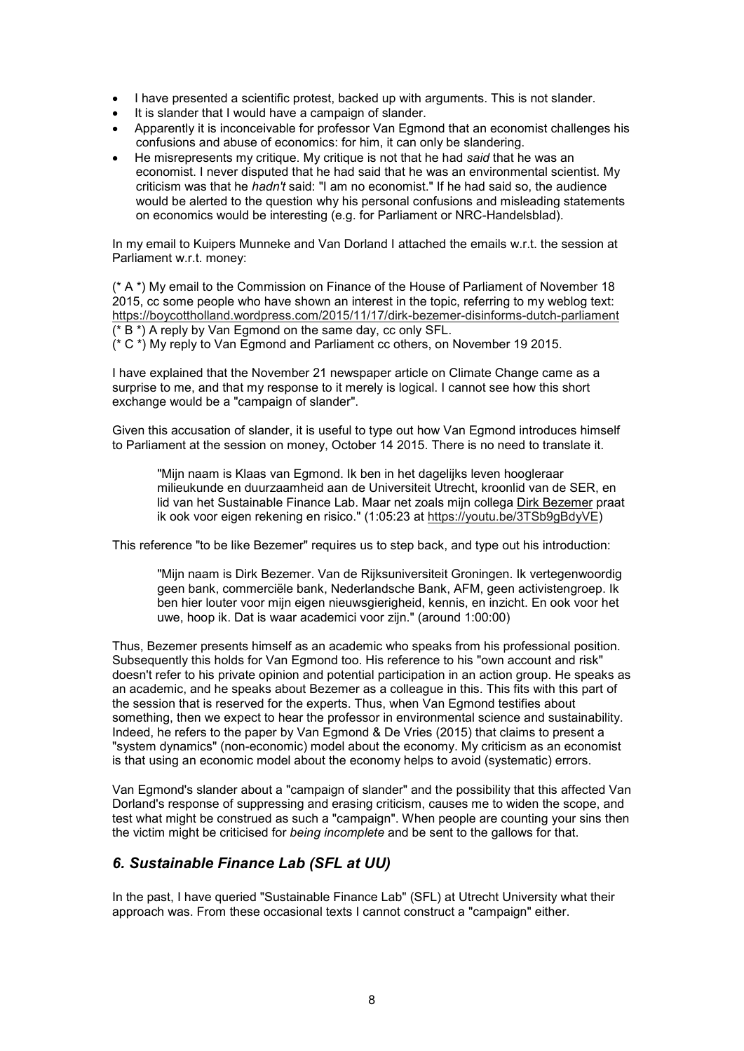- I have presented a scientific protest, backed up with arguments. This is not slander.
- It is slander that I would have a campaign of slander.
- Apparently it is inconceivable for professor Van Egmond that an economist challenges his confusions and abuse of economics: for him, it can only be slandering.
- He misrepresents my critique. My critique is not that he had *said* that he was an economist. I never disputed that he had said that he was an environmental scientist. My criticism was that he *hadn't* said: "I am no economist." If he had said so, the audience would be alerted to the question why his personal confusions and misleading statements on economics would be interesting (e.g. for Parliament or NRC-Handelsblad).

In my email to Kuipers Munneke and Van Dorland I attached the emails w.r.t. the session at Parliament w.r.t. money:

(\* A \*) My email to the Commission on Finance of the House of Parliament of November 18 2015, cc some people who have shown an interest in the topic, referring to my weblog text: https://boycottholland.wordpress.com/2015/11/17/dirk-bezemer-disinforms-dutch-parliament (\* B \*) A reply by Van Egmond on the same day, cc only SFL.

(\* C \*) My reply to Van Egmond and Parliament cc others, on November 19 2015.

I have explained that the November 21 newspaper article on Climate Change came as a surprise to me, and that my response to it merely is logical. I cannot see how this short exchange would be a "campaign of slander".

Given this accusation of slander, it is useful to type out how Van Egmond introduces himself to Parliament at the session on money, October 14 2015. There is no need to translate it.

"Mijn naam is Klaas van Egmond. Ik ben in het dagelijks leven hoogleraar milieukunde en duurzaamheid aan de Universiteit Utrecht, kroonlid van de SER, en lid van het Sustainable Finance Lab. Maar net zoals mijn collega Dirk Bezemer praat ik ook voor eigen rekening en risico." (1:05:23 at https://youtu.be/3TSb9gBdyVE)

This reference "to be like Bezemer" requires us to step back, and type out his introduction:

"Mijn naam is Dirk Bezemer. Van de Rijksuniversiteit Groningen. Ik vertegenwoordig geen bank, commerciële bank, Nederlandsche Bank, AFM, geen activistengroep. Ik ben hier louter voor mijn eigen nieuwsgierigheid, kennis, en inzicht. En ook voor het uwe, hoop ik. Dat is waar academici voor zijn." (around 1:00:00)

Thus, Bezemer presents himself as an academic who speaks from his professional position. Subsequently this holds for Van Egmond too. His reference to his "own account and risk" doesn't refer to his private opinion and potential participation in an action group. He speaks as an academic, and he speaks about Bezemer as a colleague in this. This fits with this part of the session that is reserved for the experts. Thus, when Van Egmond testifies about something, then we expect to hear the professor in environmental science and sustainability. Indeed, he refers to the paper by Van Egmond & De Vries (2015) that claims to present a "system dynamics" (non-economic) model about the economy. My criticism as an economist is that using an economic model about the economy helps to avoid (systematic) errors.

Van Egmond's slander about a "campaign of slander" and the possibility that this affected Van Dorland's response of suppressing and erasing criticism, causes me to widen the scope, and test what might be construed as such a "campaign". When people are counting your sins then the victim might be criticised for *being incomplete* and be sent to the gallows for that.

## *6. Sustainable Finance Lab (SFL at UU)*

In the past, I have queried "Sustainable Finance Lab" (SFL) at Utrecht University what their approach was. From these occasional texts I cannot construct a "campaign" either.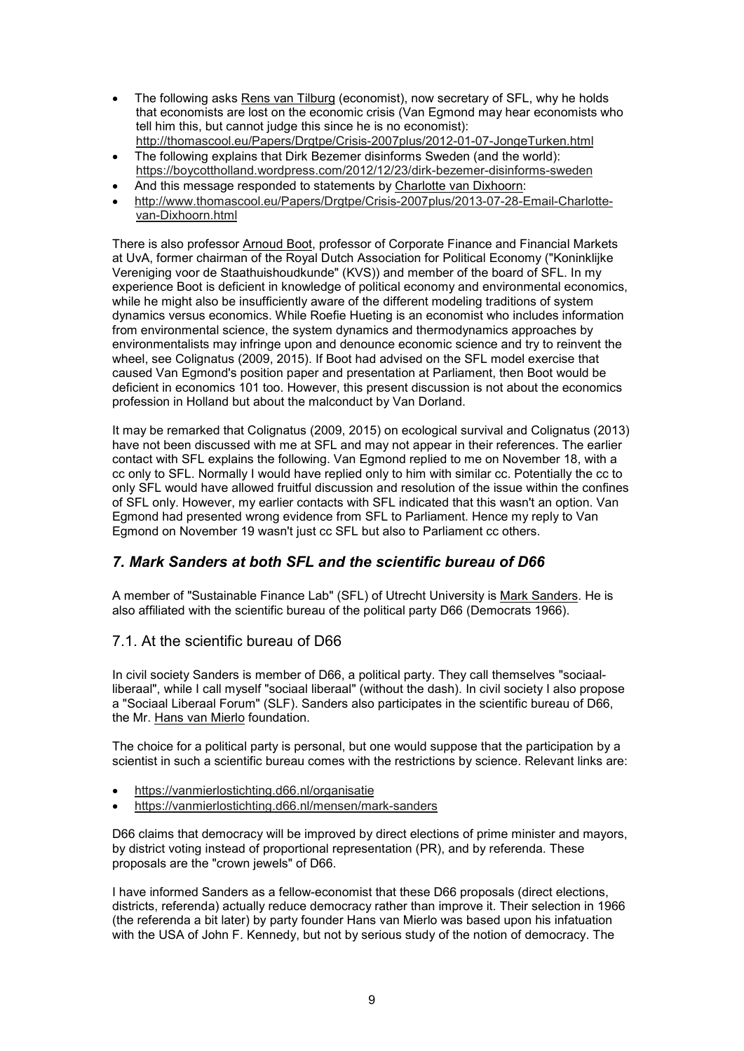- The following asks Rens van Tilburg (economist), now secretary of SFL, why he holds that economists are lost on the economic crisis (Van Egmond may hear economists who tell him this, but cannot judge this since he is no economist): http://thomascool.eu/Papers/Drgtpe/Crisis-2007plus/2012-01-07-JongeTurken.html
- The following explains that Dirk Bezemer disinforms Sweden (and the world): https://boycottholland.wordpress.com/2012/12/23/dirk-bezemer-disinforms-sweden
- And this message responded to statements by Charlotte van Dixhoorn:
- http://www.thomascool.eu/Papers/Drgtpe/Crisis-2007plus/2013-07-28-Email-Charlottevan-Dixhoorn.html

There is also professor Arnoud Boot, professor of Corporate Finance and Financial Markets at UvA, former chairman of the Royal Dutch Association for Political Economy ("Koninklijke Vereniging voor de Staathuishoudkunde" (KVS)) and member of the board of SFL. In my experience Boot is deficient in knowledge of political economy and environmental economics, while he might also be insufficiently aware of the different modeling traditions of system dynamics versus economics. While Roefie Hueting is an economist who includes information from environmental science, the system dynamics and thermodynamics approaches by environmentalists may infringe upon and denounce economic science and try to reinvent the wheel, see Colignatus (2009, 2015). If Boot had advised on the SFL model exercise that caused Van Egmond's position paper and presentation at Parliament, then Boot would be deficient in economics 101 too. However, this present discussion is not about the economics profession in Holland but about the malconduct by Van Dorland.

It may be remarked that Colignatus (2009, 2015) on ecological survival and Colignatus (2013) have not been discussed with me at SFL and may not appear in their references. The earlier contact with SFL explains the following. Van Egmond replied to me on November 18, with a cc only to SFL. Normally I would have replied only to him with similar cc. Potentially the cc to only SFL would have allowed fruitful discussion and resolution of the issue within the confines of SFL only. However, my earlier contacts with SFL indicated that this wasn't an option. Van Egmond had presented wrong evidence from SFL to Parliament. Hence my reply to Van Egmond on November 19 wasn't just cc SFL but also to Parliament cc others.

## *7. Mark Sanders at both SFL and the scientific bureau of D66*

A member of "Sustainable Finance Lab" (SFL) of Utrecht University is Mark Sanders. He is also affiliated with the scientific bureau of the political party D66 (Democrats 1966).

## 7.1. At the scientific bureau of D66

In civil society Sanders is member of D66, a political party. They call themselves "sociaalliberaal", while I call myself "sociaal liberaal" (without the dash). In civil society I also propose a "Sociaal Liberaal Forum" (SLF). Sanders also participates in the scientific bureau of D66, the Mr. Hans van Mierlo foundation.

The choice for a political party is personal, but one would suppose that the participation by a scientist in such a scientific bureau comes with the restrictions by science. Relevant links are:

- https://vanmierlostichting.d66.nl/organisatie
- https://vanmierlostichting.d66.nl/mensen/mark-sanders

D66 claims that democracy will be improved by direct elections of prime minister and mayors, by district voting instead of proportional representation (PR), and by referenda. These proposals are the "crown jewels" of D66.

I have informed Sanders as a fellow-economist that these D66 proposals (direct elections, districts, referenda) actually reduce democracy rather than improve it. Their selection in 1966 (the referenda a bit later) by party founder Hans van Mierlo was based upon his infatuation with the USA of John F. Kennedy, but not by serious study of the notion of democracy. The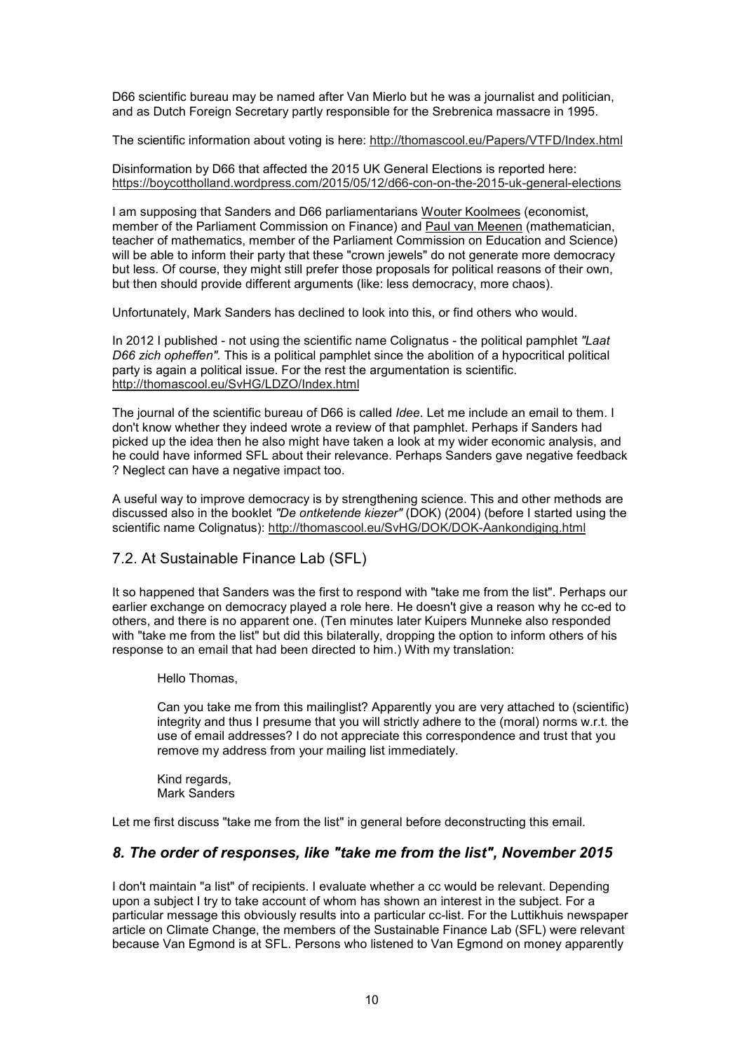D66 scientific bureau may be named after Van Mierlo but he was a journalist and politician, and as Dutch Foreign Secretary partly responsible for the Srebrenica massacre in 1995.

The scientific information about voting is here: http://thomascool.eu/Papers/VTFD/Index.html

Disinformation by D66 that affected the 2015 UK General Elections is reported here: https://boycottholland.wordpress.com/2015/05/12/d66-con-on-the-2015-uk-general-elections

I am supposing that Sanders and D66 parliamentarians Wouter Koolmees (economist, member of the Parliament Commission on Finance) and Paul van Meenen (mathematician, teacher of mathematics, member of the Parliament Commission on Education and Science) will be able to inform their party that these "crown jewels" do not generate more democracy but less. Of course, they might still prefer those proposals for political reasons of their own, but then should provide different arguments (like: less democracy, more chaos).

Unfortunately, Mark Sanders has declined to look into this, or find others who would.

In 2012 I published - not using the scientific name Colignatus - the political pamphlet *"Laat D66 zich opheffen".* This is a political pamphlet since the abolition of a hypocritical political party is again a political issue. For the rest the argumentation is scientific. http://thomascool.eu/SvHG/LDZO/Index.html

The journal of the scientific bureau of D66 is called *Idee*. Let me include an email to them. I don't know whether they indeed wrote a review of that pamphlet. Perhaps if Sanders had picked up the idea then he also might have taken a look at my wider economic analysis, and he could have informed SFL about their relevance. Perhaps Sanders gave negative feedback ? Neglect can have a negative impact too.

A useful way to improve democracy is by strengthening science. This and other methods are discussed also in the booklet *"De ontketende kiezer"* (DOK) (2004) (before I started using the scientific name Colignatus): http://thomascool.eu/SvHG/DOK/DOK-Aankondiging.html

## 7.2. At Sustainable Finance Lab (SFL)

It so happened that Sanders was the first to respond with "take me from the list". Perhaps our earlier exchange on democracy played a role here. He doesn't give a reason why he cc-ed to others, and there is no apparent one. (Ten minutes later Kuipers Munneke also responded with "take me from the list" but did this bilaterally, dropping the option to inform others of his response to an email that had been directed to him.) With my translation:

Hello Thomas,

Can you take me from this mailinglist? Apparently you are very attached to (scientific) integrity and thus I presume that you will strictly adhere to the (moral) norms w.r.t. the use of email addresses? I do not appreciate this correspondence and trust that you remove my address from your mailing list immediately.

Kind regards, Mark Sanders

Let me first discuss "take me from the list" in general before deconstructing this email.

## *8. The order of responses, like "take me from the list", November 2015*

I don't maintain "a list" of recipients. I evaluate whether a cc would be relevant. Depending upon a subject I try to take account of whom has shown an interest in the subject. For a particular message this obviously results into a particular cc-list. For the Luttikhuis newspaper article on Climate Change, the members of the Sustainable Finance Lab (SFL) were relevant because Van Egmond is at SFL. Persons who listened to Van Egmond on money apparently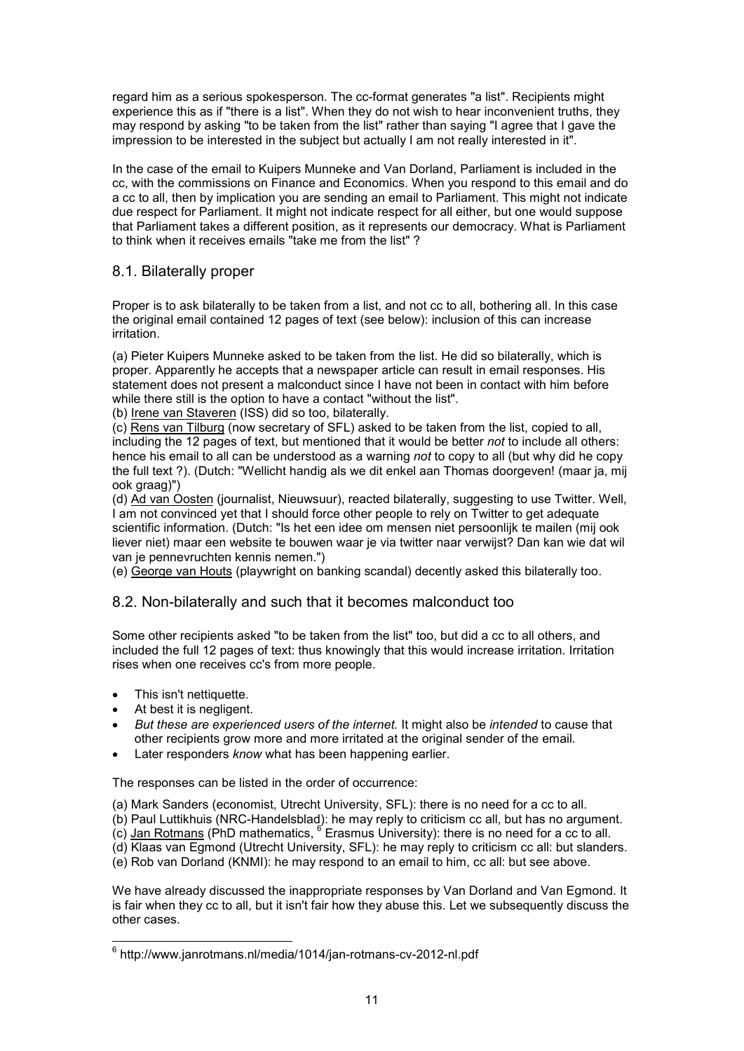regard him as a serious spokesperson. The cc-format generates "a list". Recipients might experience this as if "there is a list". When they do not wish to hear inconvenient truths, they may respond by asking "to be taken from the list" rather than saying "I agree that I gave the impression to be interested in the subject but actually I am not really interested in it".

In the case of the email to Kuipers Munneke and Van Dorland, Parliament is included in the cc, with the commissions on Finance and Economics. When you respond to this email and do a cc to all, then by implication you are sending an email to Parliament. This might not indicate due respect for Parliament. It might not indicate respect for all either, but one would suppose that Parliament takes a different position, as it represents our democracy. What is Parliament to think when it receives emails "take me from the list" ?

## 8.1. Bilaterally proper

Proper is to ask bilaterally to be taken from a list, and not cc to all, bothering all. In this case the original email contained 12 pages of text (see below): inclusion of this can increase irritation.

(a) Pieter Kuipers Munneke asked to be taken from the list. He did so bilaterally, which is proper. Apparently he accepts that a newspaper article can result in email responses. His statement does not present a malconduct since I have not been in contact with him before while there still is the option to have a contact "without the list".

(b) Irene van Staveren (ISS) did so too, bilaterally.

(c) Rens van Tilburg (now secretary of SFL) asked to be taken from the list, copied to all, including the 12 pages of text, but mentioned that it would be better *not* to include all others: hence his email to all can be understood as a warning *not* to copy to all (but why did he copy the full text ?). (Dutch: "Wellicht handig als we dit enkel aan Thomas doorgeven! (maar ja, mij ook graag)")

(d) Ad van Oosten (journalist, Nieuwsuur), reacted bilaterally, suggesting to use Twitter. Well, I am not convinced yet that I should force other people to rely on Twitter to get adequate scientific information. (Dutch: "Is het een idee om mensen niet persoonlijk te mailen (mij ook liever niet) maar een website te bouwen waar je via twitter naar verwijst? Dan kan wie dat wil van je pennevruchten kennis nemen.")

(e) George van Houts (playwright on banking scandal) decently asked this bilaterally too.

## 8.2. Non-bilaterally and such that it becomes malconduct too

Some other recipients asked "to be taken from the list" too, but did a cc to all others, and included the full 12 pages of text: thus knowingly that this would increase irritation. Irritation rises when one receives cc's from more people.

- This isn't nettiquette.
- At best it is negligent.
- *But these are experienced users of the internet.* It might also be *intended* to cause that other recipients grow more and more irritated at the original sender of the email.
- Later responders *know* what has been happening earlier.

The responses can be listed in the order of occurrence:

- (a) Mark Sanders (economist, Utrecht University, SFL): there is no need for a cc to all.
- (b) Paul Luttikhuis (NRC-Handelsblad): he may reply to criticism cc all, but has no argument.
- $\overline{\text{(c)}}$  Jan Rotmans (PhD mathematics,  $^6$  Erasmus University): there is no need for a cc to all.
- (d) Klaas van Egmond (Utrecht University, SFL): he may reply to criticism cc all: but slanders.
- (e) Rob van Dorland (KNMI): he may respond to an email to him, cc all: but see above.

We have already discussed the inappropriate responses by Van Dorland and Van Egmond. It is fair when they cc to all, but it isn't fair how they abuse this. Let we subsequently discuss the other cases.

 6 http://www.janrotmans.nl/media/1014/jan-rotmans-cv-2012-nl.pdf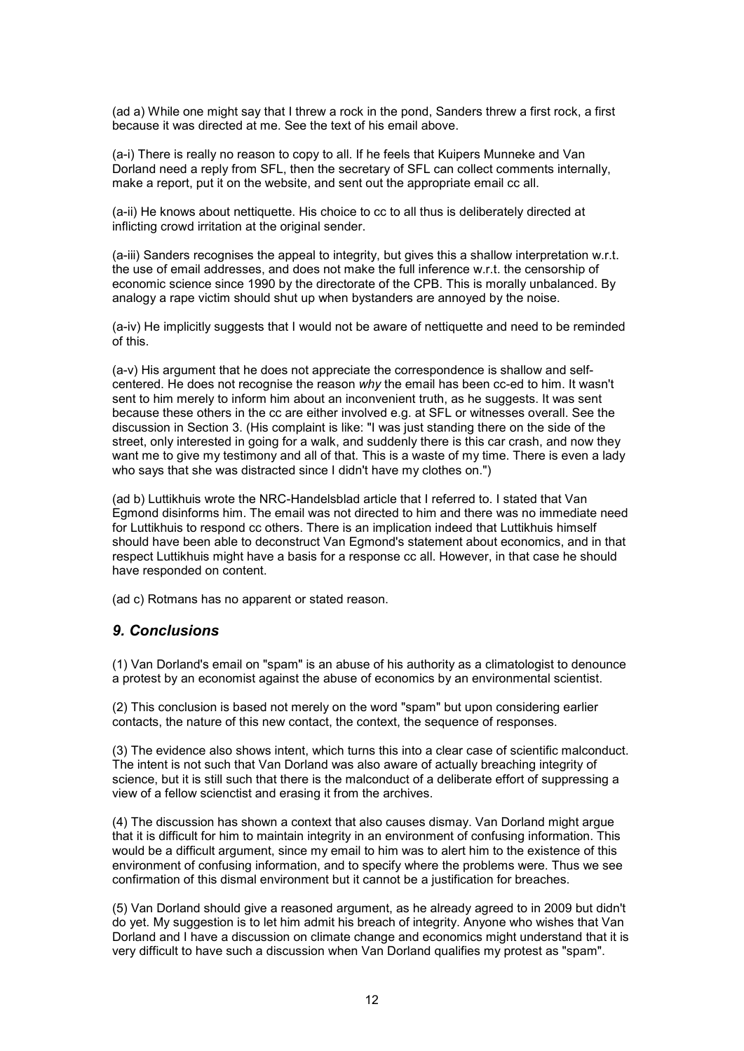(ad a) While one might say that I threw a rock in the pond, Sanders threw a first rock, a first because it was directed at me. See the text of his email above.

(a-i) There is really no reason to copy to all. If he feels that Kuipers Munneke and Van Dorland need a reply from SFL, then the secretary of SFL can collect comments internally, make a report, put it on the website, and sent out the appropriate email cc all.

(a-ii) He knows about nettiquette. His choice to cc to all thus is deliberately directed at inflicting crowd irritation at the original sender.

(a-iii) Sanders recognises the appeal to integrity, but gives this a shallow interpretation w.r.t. the use of email addresses, and does not make the full inference w.r.t. the censorship of economic science since 1990 by the directorate of the CPB. This is morally unbalanced. By analogy a rape victim should shut up when bystanders are annoyed by the noise.

(a-iv) He implicitly suggests that I would not be aware of nettiquette and need to be reminded of this.

(a-v) His argument that he does not appreciate the correspondence is shallow and selfcentered. He does not recognise the reason *why* the email has been cc-ed to him. It wasn't sent to him merely to inform him about an inconvenient truth, as he suggests. It was sent because these others in the cc are either involved e.g. at SFL or witnesses overall. See the discussion in Section 3. (His complaint is like: "I was just standing there on the side of the street, only interested in going for a walk, and suddenly there is this car crash, and now they want me to give my testimony and all of that. This is a waste of my time. There is even a lady who says that she was distracted since I didn't have my clothes on.")

(ad b) Luttikhuis wrote the NRC-Handelsblad article that I referred to. I stated that Van Egmond disinforms him. The email was not directed to him and there was no immediate need for Luttikhuis to respond cc others. There is an implication indeed that Luttikhuis himself should have been able to deconstruct Van Egmond's statement about economics, and in that respect Luttikhuis might have a basis for a response cc all. However, in that case he should have responded on content.

(ad c) Rotmans has no apparent or stated reason.

## *9. Conclusions*

(1) Van Dorland's email on "spam" is an abuse of his authority as a climatologist to denounce a protest by an economist against the abuse of economics by an environmental scientist.

(2) This conclusion is based not merely on the word "spam" but upon considering earlier contacts, the nature of this new contact, the context, the sequence of responses.

(3) The evidence also shows intent, which turns this into a clear case of scientific malconduct. The intent is not such that Van Dorland was also aware of actually breaching integrity of science, but it is still such that there is the malconduct of a deliberate effort of suppressing a view of a fellow scienctist and erasing it from the archives.

(4) The discussion has shown a context that also causes dismay. Van Dorland might argue that it is difficult for him to maintain integrity in an environment of confusing information. This would be a difficult argument, since my email to him was to alert him to the existence of this environment of confusing information, and to specify where the problems were. Thus we see confirmation of this dismal environment but it cannot be a justification for breaches.

(5) Van Dorland should give a reasoned argument, as he already agreed to in 2009 but didn't do yet. My suggestion is to let him admit his breach of integrity. Anyone who wishes that Van Dorland and I have a discussion on climate change and economics might understand that it is very difficult to have such a discussion when Van Dorland qualifies my protest as "spam".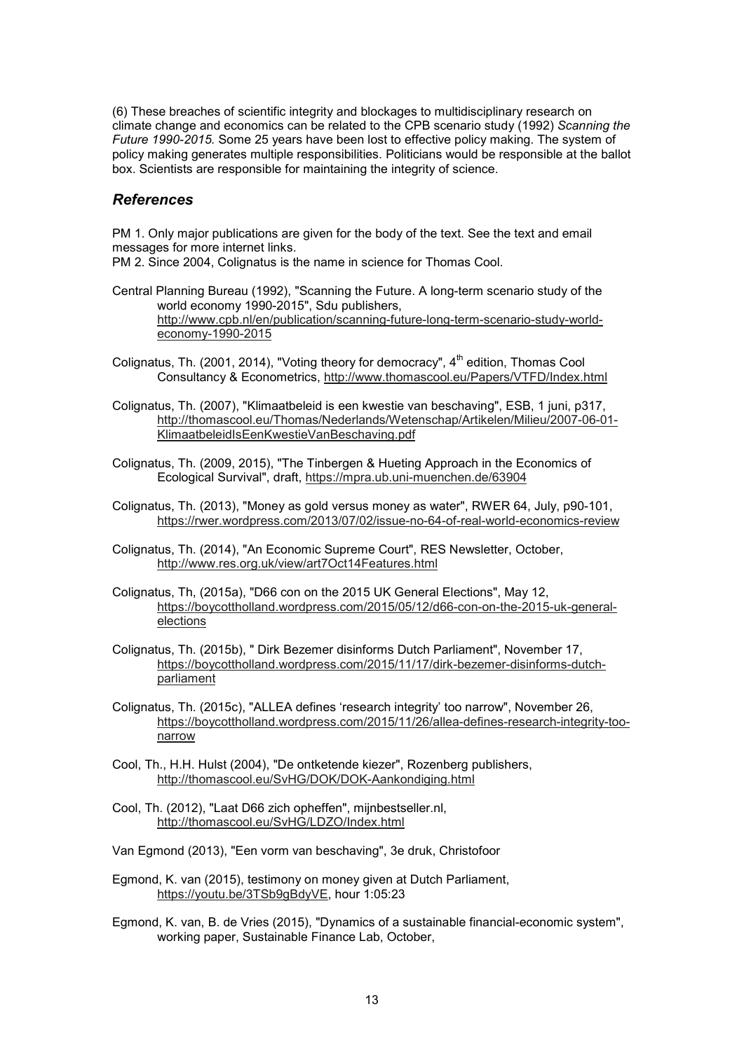(6) These breaches of scientific integrity and blockages to multidisciplinary research on climate change and economics can be related to the CPB scenario study (1992) *Scanning the Future 1990-2015.* Some 25 years have been lost to effective policy making. The system of policy making generates multiple responsibilities. Politicians would be responsible at the ballot box. Scientists are responsible for maintaining the integrity of science.

### *References*

PM 1. Only major publications are given for the body of the text. See the text and email messages for more internet links.

PM 2. Since 2004, Colignatus is the name in science for Thomas Cool.

- Central Planning Bureau (1992), "Scanning the Future. A long-term scenario study of the world economy 1990-2015", Sdu publishers, http://www.cpb.nl/en/publication/scanning-future-long-term-scenario-study-worldeconomy-1990-2015
- Colignatus, Th. (2001, 2014), "Voting theory for democracy",  $4<sup>th</sup>$  edition, Thomas Cool Consultancy & Econometrics, http://www.thomascool.eu/Papers/VTFD/Index.html
- Colignatus, Th. (2007), "Klimaatbeleid is een kwestie van beschaving", ESB, 1 juni, p317, http://thomascool.eu/Thomas/Nederlands/Wetenschap/Artikelen/Milieu/2007-06-01- KlimaatbeleidIsEenKwestieVanBeschaving.pdf
- Colignatus, Th. (2009, 2015), "The Tinbergen & Hueting Approach in the Economics of Ecological Survival", draft, https://mpra.ub.uni-muenchen.de/63904
- Colignatus, Th. (2013), "Money as gold versus money as water", RWER 64, July, p90-101, https://rwer.wordpress.com/2013/07/02/issue-no-64-of-real-world-economics-review
- Colignatus, Th. (2014), "An Economic Supreme Court", RES Newsletter, October, http://www.res.org.uk/view/art7Oct14Features.html
- Colignatus, Th, (2015a), "D66 con on the 2015 UK General Elections", May 12, https://boycottholland.wordpress.com/2015/05/12/d66-con-on-the-2015-uk-generalelections
- Colignatus, Th. (2015b), " Dirk Bezemer disinforms Dutch Parliament", November 17, https://boycottholland.wordpress.com/2015/11/17/dirk-bezemer-disinforms-dutchparliament
- Colignatus, Th. (2015c), "ALLEA defines 'research integrity' too narrow", November 26, https://boycottholland.wordpress.com/2015/11/26/allea-defines-research-integrity-toonarrow
- Cool, Th., H.H. Hulst (2004), "De ontketende kiezer", Rozenberg publishers, http://thomascool.eu/SvHG/DOK/DOK-Aankondiging.html
- Cool, Th. (2012), "Laat D66 zich opheffen", mijnbestseller.nl, http://thomascool.eu/SvHG/LDZO/Index.html
- Van Egmond (2013), "Een vorm van beschaving", 3e druk, Christofoor
- Egmond, K. van (2015), testimony on money given at Dutch Parliament, https://youtu.be/3TSb9gBdyVE, hour 1:05:23
- Egmond, K. van, B. de Vries (2015), "Dynamics of a sustainable financial-economic system", working paper, Sustainable Finance Lab, October,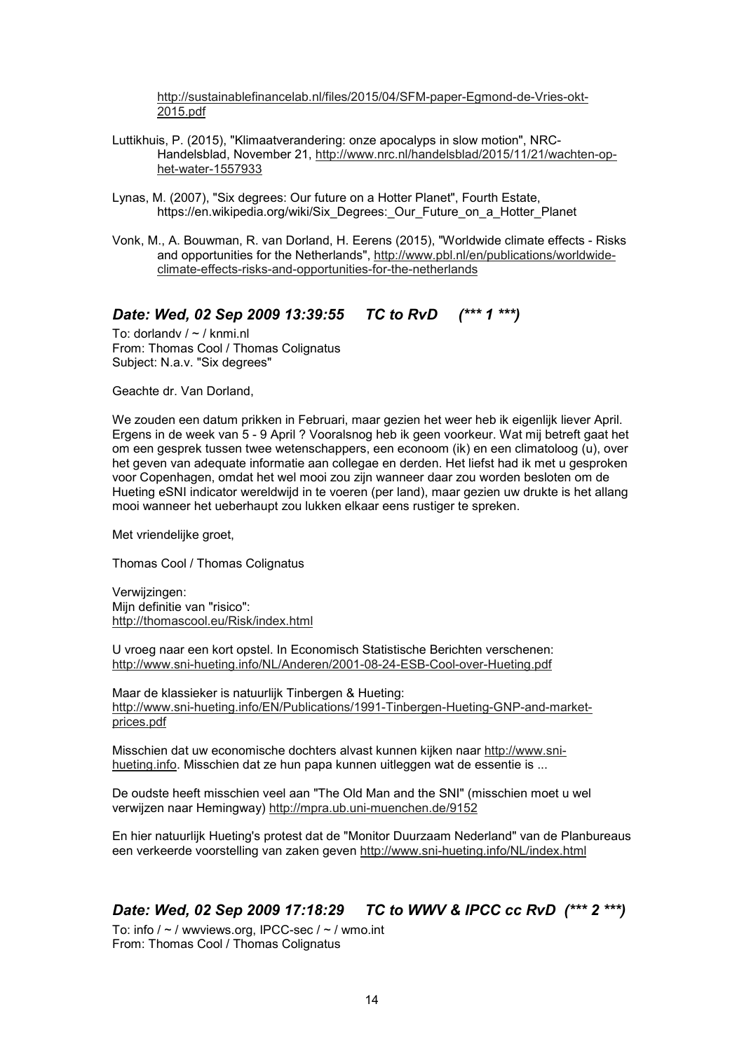http://sustainablefinancelab.nl/files/2015/04/SFM-paper-Egmond-de-Vries-okt-2015.pdf

- Luttikhuis, P. (2015), "Klimaatverandering: onze apocalyps in slow motion", NRC-Handelsblad, November 21, http://www.nrc.nl/handelsblad/2015/11/21/wachten-ophet-water-1557933
- Lynas, M. (2007), "Six degrees: Our future on a Hotter Planet", Fourth Estate, https://en.wikipedia.org/wiki/Six\_Degrees: Our\_Future\_on\_a\_Hotter\_Planet
- Vonk, M., A. Bouwman, R. van Dorland, H. Eerens (2015), "Worldwide climate effects Risks and opportunities for the Netherlands", http://www.pbl.nl/en/publications/worldwideclimate-effects-risks-and-opportunities-for-the-netherlands

# *Date: Wed, 02 Sep 2009 13:39:55 TC to RvD (\*\*\* 1 \*\*\*)*

To: dorlandv / ~ / knmi.nl From: Thomas Cool / Thomas Colignatus Subject: N.a.v. "Six degrees"

Geachte dr. Van Dorland,

We zouden een datum prikken in Februari, maar gezien het weer heb ik eigenlijk liever April. Ergens in de week van 5 - 9 April ? Vooralsnog heb ik geen voorkeur. Wat mij betreft gaat het om een gesprek tussen twee wetenschappers, een econoom (ik) en een climatoloog (u), over het geven van adequate informatie aan collegae en derden. Het liefst had ik met u gesproken voor Copenhagen, omdat het wel mooi zou zijn wanneer daar zou worden besloten om de Hueting eSNI indicator wereldwijd in te voeren (per land), maar gezien uw drukte is het allang mooi wanneer het ueberhaupt zou lukken elkaar eens rustiger te spreken.

Met vriendelijke groet,

Thomas Cool / Thomas Colignatus

Verwijzingen: Mijn definitie van "risico": http://thomascool.eu/Risk/index.html

U vroeg naar een kort opstel. In Economisch Statistische Berichten verschenen: http://www.sni-hueting.info/NL/Anderen/2001-08-24-ESB-Cool-over-Hueting.pdf

Maar de klassieker is natuurlijk Tinbergen & Hueting: http://www.sni-hueting.info/EN/Publications/1991-Tinbergen-Hueting-GNP-and-marketprices.pdf

Misschien dat uw economische dochters alvast kunnen kijken naar http://www.snihueting.info. Misschien dat ze hun papa kunnen uitleggen wat de essentie is ...

De oudste heeft misschien veel aan "The Old Man and the SNI" (misschien moet u wel verwijzen naar Hemingway) http://mpra.ub.uni-muenchen.de/9152

En hier natuurlijk Hueting's protest dat de "Monitor Duurzaam Nederland" van de Planbureaus een verkeerde voorstelling van zaken geven http://www.sni-hueting.info/NL/index.html

# *Date: Wed, 02 Sep 2009 17:18:29 TC to WWV & IPCC cc RvD (\*\*\* 2 \*\*\*)*

To: info  $/ \sim /$  wwviews.org, IPCC-sec  $/ \sim /$  wmo.int From: Thomas Cool / Thomas Colignatus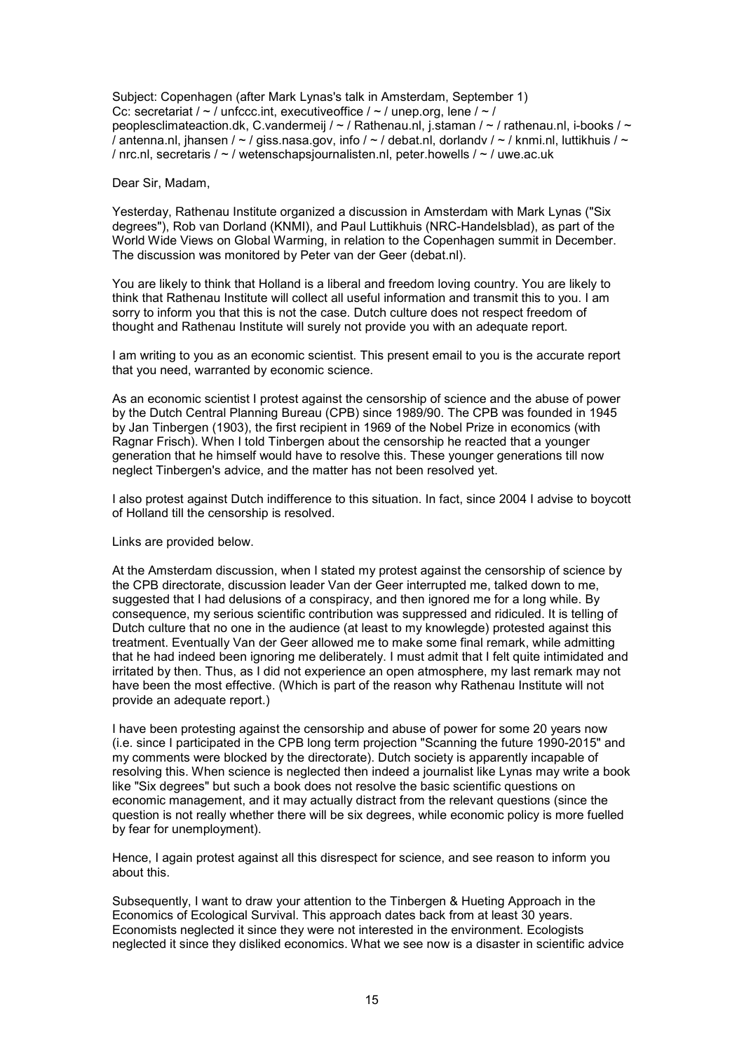Subject: Copenhagen (after Mark Lynas's talk in Amsterdam, September 1) Cc: secretariat /  $\sim$  / unfccc.int, executiveoffice /  $\sim$  / unep.org, lene /  $\sim$  / peoplesclimateaction.dk, C.vandermeij / ~ / Rathenau.nl, j.staman / ~ / rathenau.nl, i-books / ~ / antenna.nl, jhansen /  $\sim$  / giss.nasa.gov, info /  $\sim$  / debat.nl, dorlandv /  $\sim$  / knmi.nl, luttikhuis /  $\sim$ / nrc.nl, secretaris / ~ / wetenschapsjournalisten.nl, peter.howells / ~ / uwe.ac.uk

Dear Sir, Madam,

Yesterday, Rathenau Institute organized a discussion in Amsterdam with Mark Lynas ("Six degrees"), Rob van Dorland (KNMI), and Paul Luttikhuis (NRC-Handelsblad), as part of the World Wide Views on Global Warming, in relation to the Copenhagen summit in December. The discussion was monitored by Peter van der Geer (debat.nl).

You are likely to think that Holland is a liberal and freedom loving country. You are likely to think that Rathenau Institute will collect all useful information and transmit this to you. I am sorry to inform you that this is not the case. Dutch culture does not respect freedom of thought and Rathenau Institute will surely not provide you with an adequate report.

I am writing to you as an economic scientist. This present email to you is the accurate report that you need, warranted by economic science.

As an economic scientist I protest against the censorship of science and the abuse of power by the Dutch Central Planning Bureau (CPB) since 1989/90. The CPB was founded in 1945 by Jan Tinbergen (1903), the first recipient in 1969 of the Nobel Prize in economics (with Ragnar Frisch). When I told Tinbergen about the censorship he reacted that a younger generation that he himself would have to resolve this. These younger generations till now neglect Tinbergen's advice, and the matter has not been resolved yet.

I also protest against Dutch indifference to this situation. In fact, since 2004 I advise to boycott of Holland till the censorship is resolved.

Links are provided below.

At the Amsterdam discussion, when I stated my protest against the censorship of science by the CPB directorate, discussion leader Van der Geer interrupted me, talked down to me, suggested that I had delusions of a conspiracy, and then ignored me for a long while. By consequence, my serious scientific contribution was suppressed and ridiculed. It is telling of Dutch culture that no one in the audience (at least to my knowlegde) protested against this treatment. Eventually Van der Geer allowed me to make some final remark, while admitting that he had indeed been ignoring me deliberately. I must admit that I felt quite intimidated and irritated by then. Thus, as I did not experience an open atmosphere, my last remark may not have been the most effective. (Which is part of the reason why Rathenau Institute will not provide an adequate report.)

I have been protesting against the censorship and abuse of power for some 20 years now (i.e. since I participated in the CPB long term projection "Scanning the future 1990-2015" and my comments were blocked by the directorate). Dutch society is apparently incapable of resolving this. When science is neglected then indeed a journalist like Lynas may write a book like "Six degrees" but such a book does not resolve the basic scientific questions on economic management, and it may actually distract from the relevant questions (since the question is not really whether there will be six degrees, while economic policy is more fuelled by fear for unemployment).

Hence, I again protest against all this disrespect for science, and see reason to inform you about this.

Subsequently, I want to draw your attention to the Tinbergen & Hueting Approach in the Economics of Ecological Survival. This approach dates back from at least 30 years. Economists neglected it since they were not interested in the environment. Ecologists neglected it since they disliked economics. What we see now is a disaster in scientific advice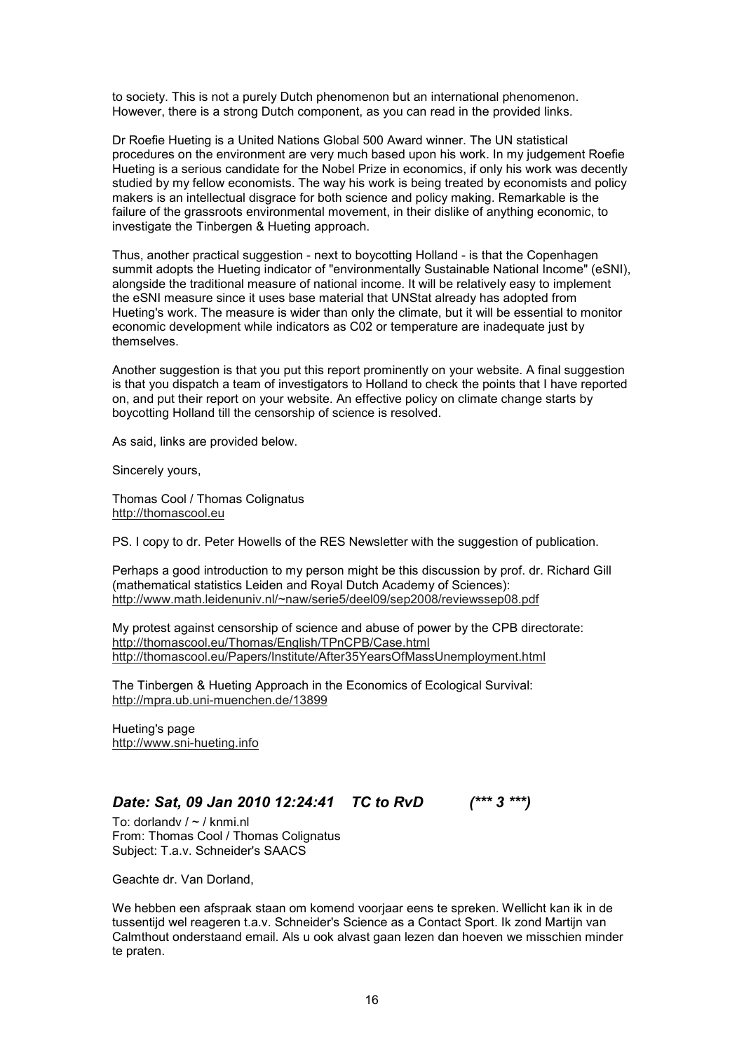to society. This is not a purely Dutch phenomenon but an international phenomenon. However, there is a strong Dutch component, as you can read in the provided links.

Dr Roefie Hueting is a United Nations Global 500 Award winner. The UN statistical procedures on the environment are very much based upon his work. In my judgement Roefie Hueting is a serious candidate for the Nobel Prize in economics, if only his work was decently studied by my fellow economists. The way his work is being treated by economists and policy makers is an intellectual disgrace for both science and policy making. Remarkable is the failure of the grassroots environmental movement, in their dislike of anything economic, to investigate the Tinbergen & Hueting approach.

Thus, another practical suggestion - next to boycotting Holland - is that the Copenhagen summit adopts the Hueting indicator of "environmentally Sustainable National Income" (eSNI), alongside the traditional measure of national income. It will be relatively easy to implement the eSNI measure since it uses base material that UNStat already has adopted from Hueting's work. The measure is wider than only the climate, but it will be essential to monitor economic development while indicators as C02 or temperature are inadequate just by themselves.

Another suggestion is that you put this report prominently on your website. A final suggestion is that you dispatch a team of investigators to Holland to check the points that I have reported on, and put their report on your website. An effective policy on climate change starts by boycotting Holland till the censorship of science is resolved.

As said, links are provided below.

Sincerely yours,

Thomas Cool / Thomas Colignatus http://thomascool.eu

PS. I copy to dr. Peter Howells of the RES Newsletter with the suggestion of publication.

Perhaps a good introduction to my person might be this discussion by prof. dr. Richard Gill (mathematical statistics Leiden and Royal Dutch Academy of Sciences): http://www.math.leidenuniv.nl/~naw/serie5/deel09/sep2008/reviewssep08.pdf

My protest against censorship of science and abuse of power by the CPB directorate: http://thomascool.eu/Thomas/English/TPnCPB/Case.html http://thomascool.eu/Papers/Institute/After35YearsOfMassUnemployment.html

The Tinbergen & Hueting Approach in the Economics of Ecological Survival: http://mpra.ub.uni-muenchen.de/13899

Hueting's page http://www.sni-hueting.info

# *Date: Sat, 09 Jan 2010 12:24:41 TC to RvD (\*\*\* 3 \*\*\*)*

To: dorlandv / ~ / knmi.nl From: Thomas Cool / Thomas Colignatus Subject: T.a.v. Schneider's SAACS

Geachte dr. Van Dorland,

We hebben een afspraak staan om komend voorjaar eens te spreken. Wellicht kan ik in de tussentijd wel reageren t.a.v. Schneider's Science as a Contact Sport. Ik zond Martijn van Calmthout onderstaand email. Als u ook alvast gaan lezen dan hoeven we misschien minder te praten.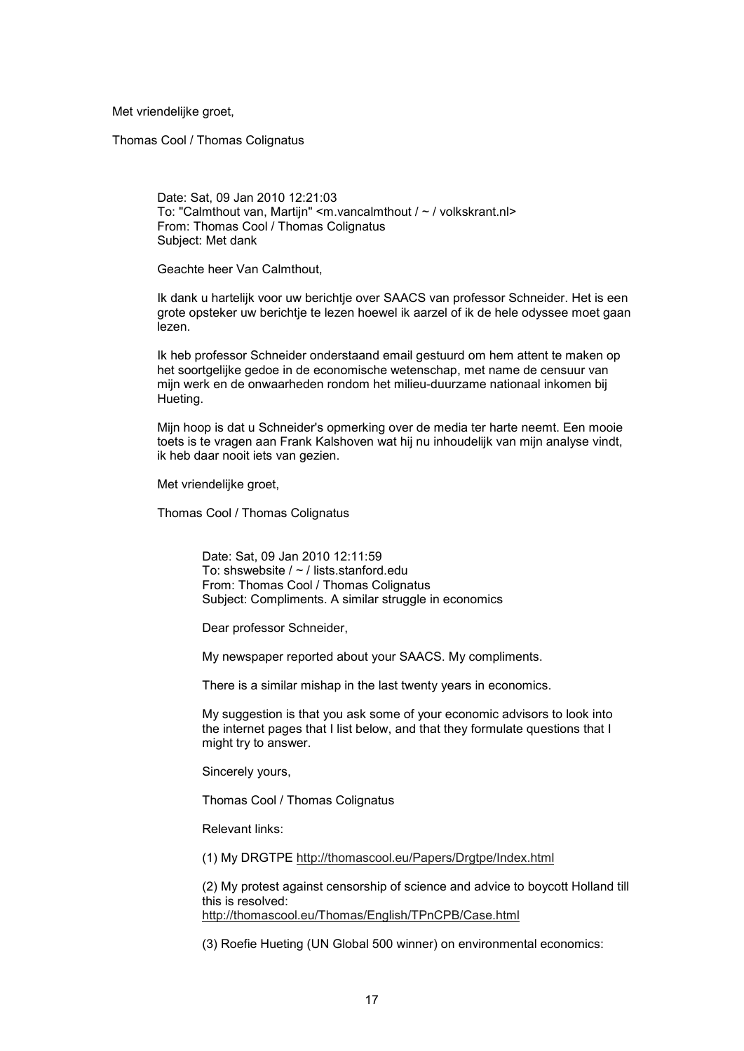Met vriendelijke groet,

Thomas Cool / Thomas Colignatus

Date: Sat, 09 Jan 2010 12:21:03 To: "Calmthout van, Martijn" <m.vancalmthout / ~ / volkskrant.nl> From: Thomas Cool / Thomas Colignatus Subject: Met dank

Geachte heer Van Calmthout,

Ik dank u hartelijk voor uw berichtje over SAACS van professor Schneider. Het is een grote opsteker uw berichtje te lezen hoewel ik aarzel of ik de hele odyssee moet gaan lezen.

Ik heb professor Schneider onderstaand email gestuurd om hem attent te maken op het soortgelijke gedoe in de economische wetenschap, met name de censuur van mijn werk en de onwaarheden rondom het milieu-duurzame nationaal inkomen bij Hueting.

Mijn hoop is dat u Schneider's opmerking over de media ter harte neemt. Een mooie toets is te vragen aan Frank Kalshoven wat hij nu inhoudelijk van mijn analyse vindt, ik heb daar nooit iets van gezien.

Met vriendelijke groet,

Thomas Cool / Thomas Colignatus

Date: Sat, 09 Jan 2010 12:11:59 To: shswebsite / ~ / lists.stanford.edu From: Thomas Cool / Thomas Colignatus Subject: Compliments. A similar struggle in economics

Dear professor Schneider,

My newspaper reported about your SAACS. My compliments.

There is a similar mishap in the last twenty years in economics.

My suggestion is that you ask some of your economic advisors to look into the internet pages that I list below, and that they formulate questions that I might try to answer.

Sincerely yours,

Thomas Cool / Thomas Colignatus

Relevant links:

(1) My DRGTPE http://thomascool.eu/Papers/Drgtpe/Index.html

(2) My protest against censorship of science and advice to boycott Holland till this is resolved: http://thomascool.eu/Thomas/English/TPnCPB/Case.html

(3) Roefie Hueting (UN Global 500 winner) on environmental economics: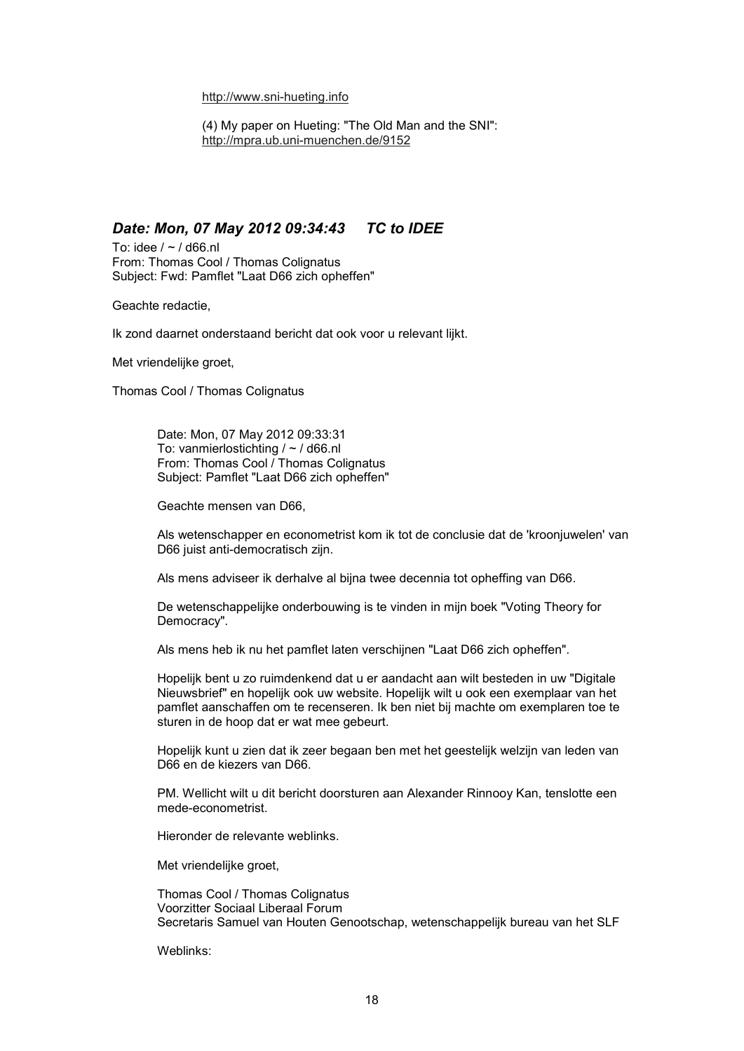#### http://www.sni-hueting.info

(4) My paper on Hueting: "The Old Man and the SNI": http://mpra.ub.uni-muenchen.de/9152

### *Date: Mon, 07 May 2012 09:34:43 TC to IDEE*

To: idee  $/ \sim /$  d66.nl From: Thomas Cool / Thomas Colignatus Subject: Fwd: Pamflet "Laat D66 zich opheffen"

Geachte redactie,

Ik zond daarnet onderstaand bericht dat ook voor u relevant lijkt.

Met vriendelijke groet,

Thomas Cool / Thomas Colignatus

Date: Mon, 07 May 2012 09:33:31 To: vanmierlostichting / ~ / d66.nl From: Thomas Cool / Thomas Colignatus Subject: Pamflet "Laat D66 zich opheffen"

Geachte mensen van D66,

Als wetenschapper en econometrist kom ik tot de conclusie dat de 'kroonjuwelen' van D66 juist anti-democratisch zijn.

Als mens adviseer ik derhalve al bijna twee decennia tot opheffing van D66.

De wetenschappelijke onderbouwing is te vinden in mijn boek "Voting Theory for Democracy".

Als mens heb ik nu het pamflet laten verschijnen "Laat D66 zich opheffen".

Hopelijk bent u zo ruimdenkend dat u er aandacht aan wilt besteden in uw "Digitale Nieuwsbrief" en hopelijk ook uw website. Hopelijk wilt u ook een exemplaar van het pamflet aanschaffen om te recenseren. Ik ben niet bij machte om exemplaren toe te sturen in de hoop dat er wat mee gebeurt.

Hopelijk kunt u zien dat ik zeer begaan ben met het geestelijk welzijn van leden van D66 en de kiezers van D66.

PM. Wellicht wilt u dit bericht doorsturen aan Alexander Rinnooy Kan, tenslotte een mede-econometrist.

Hieronder de relevante weblinks.

Met vriendelijke groet,

Thomas Cool / Thomas Colignatus Voorzitter Sociaal Liberaal Forum Secretaris Samuel van Houten Genootschap, wetenschappelijk bureau van het SLF

Weblinks: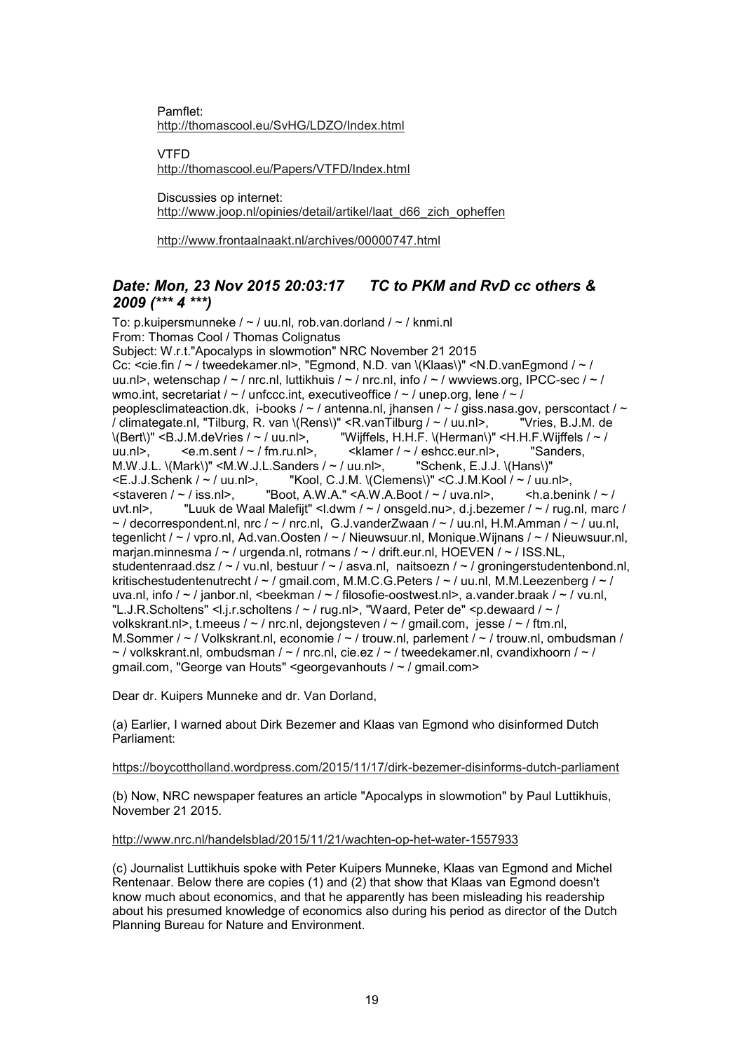Pamflet: http://thomascool.eu/SvHG/LDZO/Index.html

VTFD http://thomascool.eu/Papers/VTFD/Index.html

Discussies op internet: http://www.joop.nl/opinies/detail/artikel/laat\_d66\_zich\_opheffen

http://www.frontaalnaakt.nl/archives/00000747.html

## *Date: Mon, 23 Nov 2015 20:03:17 TC to PKM and RvD cc others & 2009 (\*\*\* 4 \*\*\*)*

To: p.kuipersmunneke  $/ \sim /$  uu.nl, rob.van.dorland  $/ \sim /$  knmi.nl From: Thomas Cool / Thomas Colignatus Subject: W.r.t."Apocalyps in slowmotion" NRC November 21 2015 Cc: <cie.fin / ~ / tweedekamer.nl>, "Egmond, N.D. van \(Klaas\)" <N.D.vanEgmond / ~ / uu.nl>, wetenschap / ~ / nrc.nl, luttikhuis / ~ / nrc.nl, info / ~ / wwviews.org, IPCC-sec / ~ / wmo.int, secretariat /  $\sim$  / unfccc.int, executiveoffice /  $\sim$  / unep.org, lene /  $\sim$  / peoplesclimateaction.dk, i-books /  $\sim$  / antenna.nl, jhansen /  $\sim$  / giss.nasa.gov, perscontact /  $\sim$ / climategate.nl, "Tilburg, R. van \(Rens\)" <R.vanTilburg / ~ / uu.nl>, "Vries, B.J.M. de  $\langle \text{Bert}\rangle \text{''}$  <B.J.M.deVries / ~ / uu.nl>,  $\blacksquare$  "Wijffels, H.H.F.  $\langle$ Herman $\rangle$ " <H.H.F. Wijffels / ~ / uu.nl>, <e.m.sent / ~ / fm.ru.nl>, <klamer / ~ / eshcc.eur.nl>, "Sanders, M.W.J.L. \(Mark\)" <M.W.J.L.Sanders / ~ / uu.nl>, "Schenk, E.J.J. \(Hans\)" M.W.J.L.  $\langle \text{Mark}\rangle$ " <M.W.J.L.Sanders / ~ / uu.nl>, <E.J.J.Schenk / ~ / uu.nl>,  $\blacksquare$  "Kool, C.J.M.  $\langle$ Cle  $\leq$ E.J.J.Schenk /  $\sim$  / uu.nl>, "Kool, C.J.M. \(Clemens\)"  $\leq$ C.J.M.Kool /  $\sim$  / uu.nl>,  $\leq$ staveren /  $\sim$  / iss.nl>. "Boot. A.W.A."  $\leq$ A.W.A.Boot /  $\sim$  / uva.nl>.  $\leq$ h.a.ben "Boot, A.W.A." <A.W.A.Boot  $/ \sim /$  uva.nl>, <h.a.benink  $/ \sim /$ uvt.nl>, "Luuk de Waal Malefijt" <l.dwm / ~ / onsgeld.nu>, d.j.bezemer / ~ / rug.nl, marc /  $\sim$  / decorrespondent.nl, nrc /  $\sim$  / nrc.nl, G.J.vanderZwaan /  $\sim$  / uu.nl, H.M.Amman /  $\sim$  / uu.nl, tegenlicht / ~ / vpro.nl, Ad.van.Oosten / ~ / Nieuwsuur.nl, Monique.Wijnans / ~ / Nieuwsuur.nl, marjan.minnesma / ~ / urgenda.nl, rotmans / ~ / drift.eur.nl, HOEVEN / ~ / ISS.NL, studentenraad.dsz / ~ / vu.nl, bestuur / ~ / asva.nl, naitsoezn / ~ / groningerstudentenbond.nl, kritischestudentenutrecht /  $\sim$  / gmail.com, M.M.C.G. Peters /  $\sim$  / uu.nl, M.M. Leezenberg /  $\sim$  / uva.nl, info /  $\sim$  / janbor.nl, <br/>beekman /  $\sim$  / filosofie-oostwest.nl>, a.vander.braak /  $\sim$  / vu.nl, "L.J.R.Scholtens" <l.j.r.scholtens /  $\sim$  / rug.nl>, "Waard, Peter de" <p.dewaard /  $\sim$  / volkskrant.nl>, t.meeus / ~ / nrc.nl, dejongsteven / ~ / gmail.com, jesse / ~ / ftm.nl, M.Sommer /  $\sim$  / Volkskrant.nl, economie /  $\sim$  / trouw.nl, parlement /  $\sim$  / trouw.nl, ombudsman /  $\sim$  / volkskrant.nl, ombudsman /  $\sim$  / nrc.nl, cie.ez /  $\sim$  / tweedekamer.nl, cvandixhoorn /  $\sim$  / gmail.com, "George van Houts" <georgevanhouts / ~ / gmail.com>

Dear dr. Kuipers Munneke and dr. Van Dorland,

(a) Earlier, I warned about Dirk Bezemer and Klaas van Egmond who disinformed Dutch Parliament:

https://boycottholland.wordpress.com/2015/11/17/dirk-bezemer-disinforms-dutch-parliament

(b) Now, NRC newspaper features an article "Apocalyps in slowmotion" by Paul Luttikhuis, November 21 2015.

http://www.nrc.nl/handelsblad/2015/11/21/wachten-op-het-water-1557933

(c) Journalist Luttikhuis spoke with Peter Kuipers Munneke, Klaas van Egmond and Michel Rentenaar. Below there are copies (1) and (2) that show that Klaas van Egmond doesn't know much about economics, and that he apparently has been misleading his readership about his presumed knowledge of economics also during his period as director of the Dutch Planning Bureau for Nature and Environment.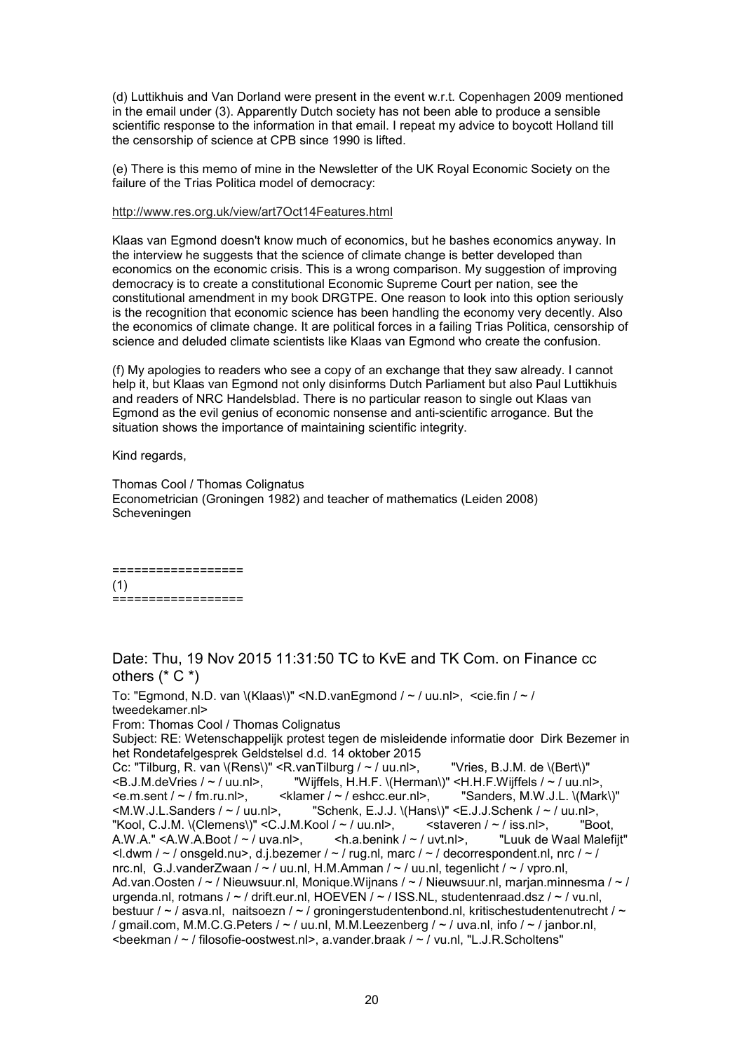(d) Luttikhuis and Van Dorland were present in the event w.r.t. Copenhagen 2009 mentioned in the email under (3). Apparently Dutch society has not been able to produce a sensible scientific response to the information in that email. I repeat my advice to boycott Holland till the censorship of science at CPB since 1990 is lifted.

(e) There is this memo of mine in the Newsletter of the UK Royal Economic Society on the failure of the Trias Politica model of democracy:

#### http://www.res.org.uk/view/art7Oct14Features.html

Klaas van Egmond doesn't know much of economics, but he bashes economics anyway. In the interview he suggests that the science of climate change is better developed than economics on the economic crisis. This is a wrong comparison. My suggestion of improving democracy is to create a constitutional Economic Supreme Court per nation, see the constitutional amendment in my book DRGTPE. One reason to look into this option seriously is the recognition that economic science has been handling the economy very decently. Also the economics of climate change. It are political forces in a failing Trias Politica, censorship of science and deluded climate scientists like Klaas van Egmond who create the confusion.

(f) My apologies to readers who see a copy of an exchange that they saw already. I cannot help it, but Klaas van Egmond not only disinforms Dutch Parliament but also Paul Luttikhuis and readers of NRC Handelsblad. There is no particular reason to single out Klaas van Egmond as the evil genius of economic nonsense and anti-scientific arrogance. But the situation shows the importance of maintaining scientific integrity.

Kind regards,

Thomas Cool / Thomas Colignatus Econometrician (Groningen 1982) and teacher of mathematics (Leiden 2008) Scheveningen

| -       |           | __________ | --             | --<br>--<br>--<br>---------------- | –<br>_ |
|---------|-----------|------------|----------------|------------------------------------|--------|
| (1)     |           |            |                |                                    |        |
| --<br>- | ___<br>__ | __         | -<br>--<br>- - | _________________<br>- -<br>-      | -      |

Date: Thu, 19 Nov 2015 11:31:50 TC to KvE and TK Com. on Finance cc others (\* C \*)

To: "Egmond, N.D. van \(Klaas\)" <N.D.vanEgmond / ~ / uu.nl>, <cie.fin / ~ / tweedekamer.nl> From: Thomas Cool / Thomas Colignatus Subject: RE: Wetenschappelijk protest tegen de misleidende informatie door Dirk Bezemer in het Rondetafelgesprek Geldstelsel d.d. 14 oktober 2015 Cc: "Tilburg, R. van \(Rens\)" <R.vanTilburg / ~ / uu.nl>, "Vries, B.J.M. de \(Bert\)"<br><B.J.M.deVries / ~ / uu.nl>. "Wijffels, H.H.F. \(Herman\)" <H.H.F.Wijffels / ~ / uu.nl <B.J.M.deVries / ~ / uu.nl>, "Wijffels, H.H.F. \(Herman\)" <H.H.F.Wijffels / ~ / uu.nl>,  $\leq$ klamer /  $\sim$  / eshcc.eur.nl>,  $\qquad$  "Sanders, M.W.J.L. \(Mark\)"  $\langle M.W.J.L.Sanders / ~ /$  uu.nl>, "Schenk, E.J.J.  $\langle Hans \rangle$ " <E.J.J.Schenk / ~ / uu.nl>, "Kool, C.J.M. \(Clemens\)" <C.J.M.Kool / ~ / uu.nl>,  $\le$  <staveren / ~ / iss.nl>, "Boot, A.W.A." <A.W.A.Boot / ~ / uva.nl>,  $\le$  h.a.benink / ~ / uvt.nl>, "Luuk de Waal Malefijt" A.W.A." <A.W.A.Boot /  $\sim$  / uva.nl>,  $\le$ l.dwm /  $\le$  / onsgeld.nu>, d.j.bezemer /  $\le$  / rug.nl, marc /  $\le$  / decorrespondent.nl, nrc /  $\le$  / nrc.nl, G.J.vanderZwaan /  $\sim$  / uu.nl, H.M.Amman /  $\sim$  / uu.nl, tegenlicht /  $\sim$  / vpro.nl, Ad.van.Oosten / ~ / Nieuwsuur.nl, Monique.Wijnans / ~ / Nieuwsuur.nl, marjan.minnesma / ~ / urgenda.nl, rotmans / ~ / drift.eur.nl, HOEVEN / ~ / ISS.NL, studentenraad.dsz / ~ / vu.nl, bestuur / ~ / asva.nl, naitsoezn / ~ / groningerstudentenbond.nl, kritischestudentenutrecht / ~ / gmail.com, M.M.C.G.Peters / ~ / uu.nl, M.M.Leezenberg / ~ / uva.nl, info / ~ / janbor.nl, <beekman / ~ / filosofie-oostwest.nl>, a.vander.braak / ~ / vu.nl, "L.J.R.Scholtens"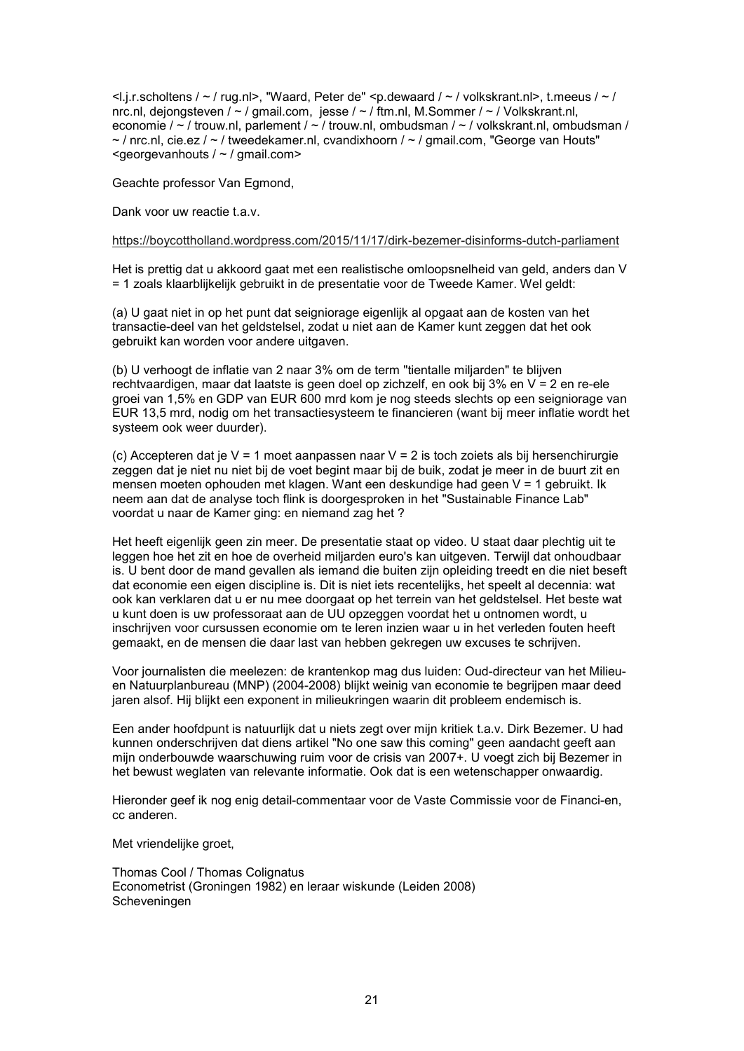<l.j.r.scholtens / ~ / rug.nl>, "Waard, Peter de" <p.dewaard / ~ / volkskrant.nl>, t.meeus / ~ / nrc.nl, dejongsteven /  $\sim$  / gmail.com, jesse /  $\sim$  / ftm.nl, M.Sommer /  $\sim$  / Volkskrant.nl, economie / ~ / trouw.nl, parlement / ~ / trouw.nl, ombudsman / ~ / volkskrant.nl, ombudsman /  $\sim$  / nrc.nl, cie.ez /  $\sim$  / tweedekamer.nl, cvandixhoorn /  $\sim$  / gmail.com, "George van Houts" <georgevanhouts / ~ / gmail.com>

Geachte professor Van Egmond,

Dank voor uw reactie t.a.v.

#### https://boycottholland.wordpress.com/2015/11/17/dirk-bezemer-disinforms-dutch-parliament

Het is prettig dat u akkoord gaat met een realistische omloopsnelheid van geld, anders dan V = 1 zoals klaarblijkelijk gebruikt in de presentatie voor de Tweede Kamer. Wel geldt:

(a) U gaat niet in op het punt dat seigniorage eigenlijk al opgaat aan de kosten van het transactie-deel van het geldstelsel, zodat u niet aan de Kamer kunt zeggen dat het ook gebruikt kan worden voor andere uitgaven.

(b) U verhoogt de inflatie van 2 naar 3% om de term "tientalle miljarden" te blijven rechtvaardigen, maar dat laatste is geen doel op zichzelf, en ook bij 3% en V = 2 en re-ele groei van 1,5% en GDP van EUR 600 mrd kom je nog steeds slechts op een seigniorage van EUR 13,5 mrd, nodig om het transactiesysteem te financieren (want bij meer inflatie wordt het systeem ook weer duurder).

(c) Accepteren dat je V = 1 moet aanpassen naar V = 2 is toch zoiets als bij hersenchirurgie zeggen dat je niet nu niet bij de voet begint maar bij de buik, zodat je meer in de buurt zit en mensen moeten ophouden met klagen. Want een deskundige had geen V = 1 gebruikt. Ik neem aan dat de analyse toch flink is doorgesproken in het "Sustainable Finance Lab" voordat u naar de Kamer ging: en niemand zag het ?

Het heeft eigenlijk geen zin meer. De presentatie staat op video. U staat daar plechtig uit te leggen hoe het zit en hoe de overheid miljarden euro's kan uitgeven. Terwijl dat onhoudbaar is. U bent door de mand gevallen als iemand die buiten zijn opleiding treedt en die niet beseft dat economie een eigen discipline is. Dit is niet iets recentelijks, het speelt al decennia: wat ook kan verklaren dat u er nu mee doorgaat op het terrein van het geldstelsel. Het beste wat u kunt doen is uw professoraat aan de UU opzeggen voordat het u ontnomen wordt, u inschrijven voor cursussen economie om te leren inzien waar u in het verleden fouten heeft gemaakt, en de mensen die daar last van hebben gekregen uw excuses te schrijven.

Voor journalisten die meelezen: de krantenkop mag dus luiden: Oud-directeur van het Milieuen Natuurplanbureau (MNP) (2004-2008) blijkt weinig van economie te begrijpen maar deed jaren alsof. Hij blijkt een exponent in milieukringen waarin dit probleem endemisch is.

Een ander hoofdpunt is natuurlijk dat u niets zegt over mijn kritiek t.a.v. Dirk Bezemer. U had kunnen onderschrijven dat diens artikel "No one saw this coming" geen aandacht geeft aan mijn onderbouwde waarschuwing ruim voor de crisis van 2007+. U voegt zich bij Bezemer in het bewust weglaten van relevante informatie. Ook dat is een wetenschapper onwaardig.

Hieronder geef ik nog enig detail-commentaar voor de Vaste Commissie voor de Financi-en, cc anderen.

Met vriendelijke groet,

Thomas Cool / Thomas Colignatus Econometrist (Groningen 1982) en leraar wiskunde (Leiden 2008) Scheveningen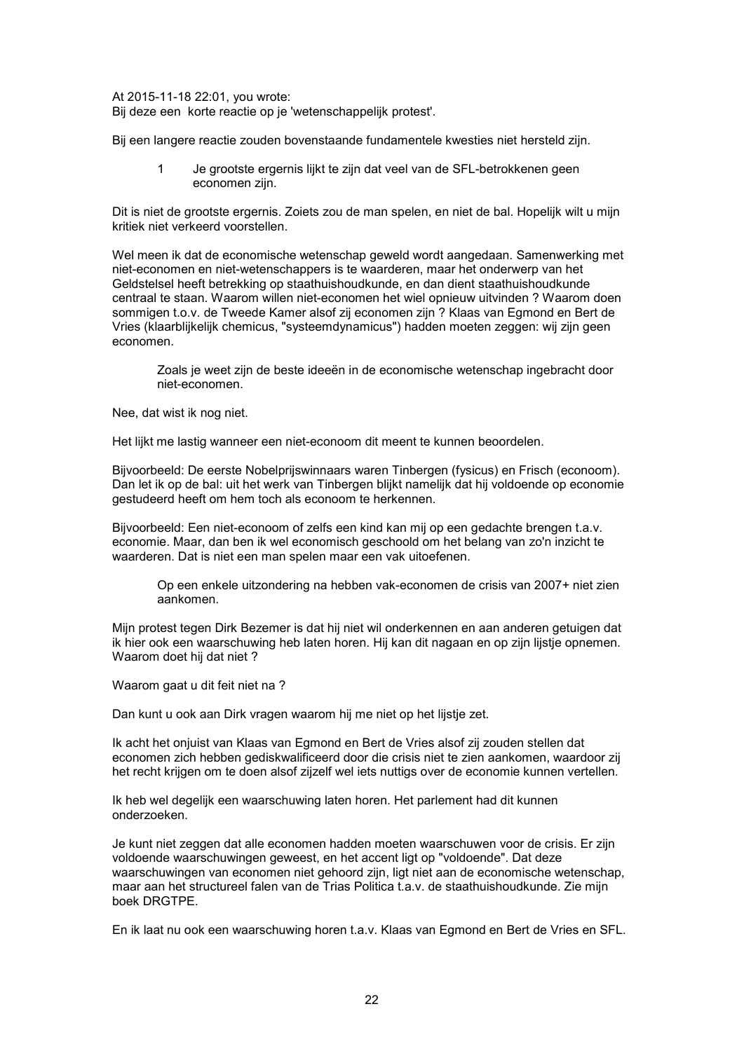At 2015-11-18 22:01, you wrote: Bij deze een korte reactie op je 'wetenschappelijk protest'.

Bij een langere reactie zouden bovenstaande fundamentele kwesties niet hersteld zijn.

1 Je grootste ergernis lijkt te zijn dat veel van de SFL-betrokkenen geen economen zijn.

Dit is niet de grootste ergernis. Zoiets zou de man spelen, en niet de bal. Hopelijk wilt u mijn kritiek niet verkeerd voorstellen.

Wel meen ik dat de economische wetenschap geweld wordt aangedaan. Samenwerking met niet-economen en niet-wetenschappers is te waarderen, maar het onderwerp van het Geldstelsel heeft betrekking op staathuishoudkunde, en dan dient staathuishoudkunde centraal te staan. Waarom willen niet-economen het wiel opnieuw uitvinden ? Waarom doen sommigen t.o.v. de Tweede Kamer alsof zij economen zijn ? Klaas van Egmond en Bert de Vries (klaarblijkelijk chemicus, "systeemdynamicus") hadden moeten zeggen: wij zijn geen economen.

Zoals je weet zijn de beste ideeën in de economische wetenschap ingebracht door niet-economen.

Nee, dat wist ik nog niet.

Het lijkt me lastig wanneer een niet-econoom dit meent te kunnen beoordelen.

Bijvoorbeeld: De eerste Nobelprijswinnaars waren Tinbergen (fysicus) en Frisch (econoom). Dan let ik op de bal: uit het werk van Tinbergen blijkt namelijk dat hij voldoende op economie gestudeerd heeft om hem toch als econoom te herkennen.

Bijvoorbeeld: Een niet-econoom of zelfs een kind kan mij op een gedachte brengen t.a.v. economie. Maar, dan ben ik wel economisch geschoold om het belang van zo'n inzicht te waarderen. Dat is niet een man spelen maar een vak uitoefenen.

Op een enkele uitzondering na hebben vak-economen de crisis van 2007+ niet zien aankomen.

Mijn protest tegen Dirk Bezemer is dat hij niet wil onderkennen en aan anderen getuigen dat ik hier ook een waarschuwing heb laten horen. Hij kan dit nagaan en op zijn lijstje opnemen. Waarom doet hij dat niet ?

Waarom gaat u dit feit niet na ?

Dan kunt u ook aan Dirk vragen waarom hij me niet op het lijstje zet.

Ik acht het onjuist van Klaas van Egmond en Bert de Vries alsof zij zouden stellen dat economen zich hebben gediskwalificeerd door die crisis niet te zien aankomen, waardoor zij het recht krijgen om te doen alsof zijzelf wel iets nuttigs over de economie kunnen vertellen.

Ik heb wel degelijk een waarschuwing laten horen. Het parlement had dit kunnen onderzoeken.

Je kunt niet zeggen dat alle economen hadden moeten waarschuwen voor de crisis. Er zijn voldoende waarschuwingen geweest, en het accent ligt op "voldoende". Dat deze waarschuwingen van economen niet gehoord zijn, ligt niet aan de economische wetenschap, maar aan het structureel falen van de Trias Politica t.a.v. de staathuishoudkunde. Zie mijn boek DRGTPE.

En ik laat nu ook een waarschuwing horen t.a.v. Klaas van Egmond en Bert de Vries en SFL.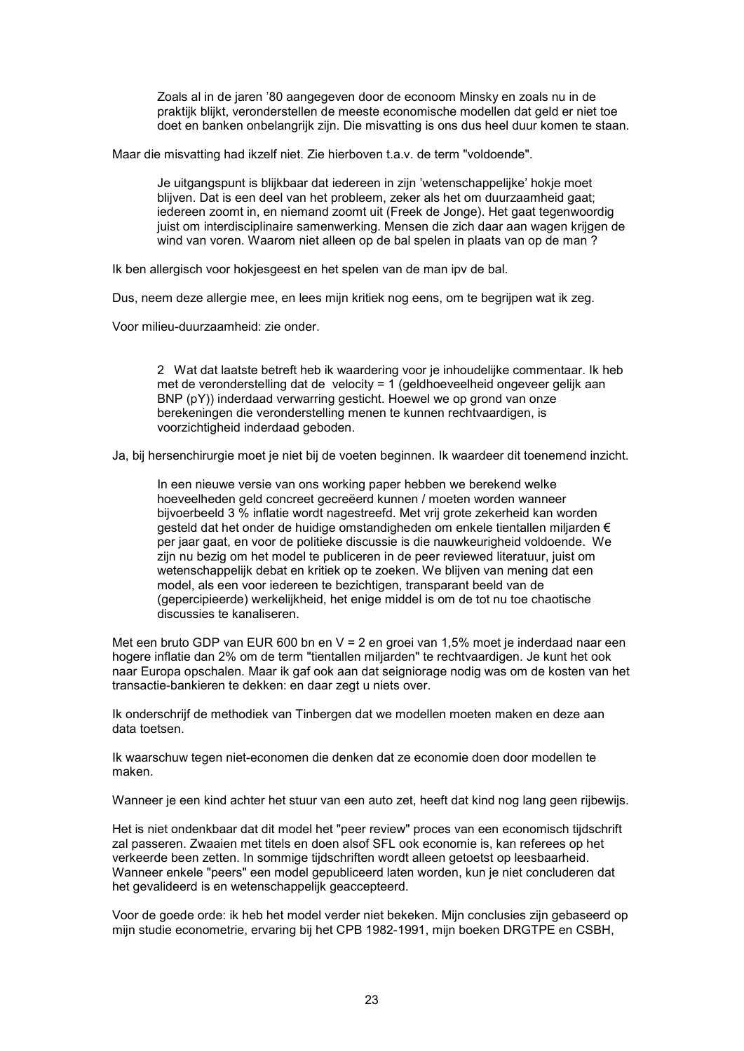Zoals al in de jaren '80 aangegeven door de econoom Minsky en zoals nu in de praktijk blijkt, veronderstellen de meeste economische modellen dat geld er niet toe doet en banken onbelangrijk zijn. Die misvatting is ons dus heel duur komen te staan.

Maar die misvatting had ikzelf niet. Zie hierboven t.a.v. de term "voldoende".

Je uitgangspunt is blijkbaar dat iedereen in zijn 'wetenschappelijke' hokje moet blijven. Dat is een deel van het probleem, zeker als het om duurzaamheid gaat; iedereen zoomt in, en niemand zoomt uit (Freek de Jonge). Het gaat tegenwoordig juist om interdisciplinaire samenwerking. Mensen die zich daar aan wagen krijgen de wind van voren. Waarom niet alleen op de bal spelen in plaats van op de man ?

Ik ben allergisch voor hokjesgeest en het spelen van de man ipv de bal.

Dus, neem deze allergie mee, en lees mijn kritiek nog eens, om te begrijpen wat ik zeg.

Voor milieu-duurzaamheid: zie onder.

2 Wat dat laatste betreft heb ik waardering voor je inhoudelijke commentaar. Ik heb met de veronderstelling dat de velocity = 1 (geldhoeveelheid ongeveer gelijk aan BNP (pY)) inderdaad verwarring gesticht. Hoewel we op grond van onze berekeningen die veronderstelling menen te kunnen rechtvaardigen, is voorzichtigheid inderdaad geboden.

Ja, bij hersenchirurgie moet je niet bij de voeten beginnen. Ik waardeer dit toenemend inzicht.

In een nieuwe versie van ons working paper hebben we berekend welke hoeveelheden geld concreet gecreëerd kunnen / moeten worden wanneer bijvoerbeeld 3 % inflatie wordt nagestreefd. Met vrij grote zekerheid kan worden gesteld dat het onder de huidige omstandigheden om enkele tientallen miljarden € per jaar gaat, en voor de politieke discussie is die nauwkeurigheid voldoende. We zijn nu bezig om het model te publiceren in de peer reviewed literatuur, juist om wetenschappelijk debat en kritiek op te zoeken. We blijven van mening dat een model, als een voor iedereen te bezichtigen, transparant beeld van de (gepercipieerde) werkelijkheid, het enige middel is om de tot nu toe chaotische discussies te kanaliseren.

Met een bruto GDP van EUR 600 bn en V = 2 en groei van 1,5% moet je inderdaad naar een hogere inflatie dan 2% om de term "tientallen miljarden" te rechtvaardigen. Je kunt het ook naar Europa opschalen. Maar ik gaf ook aan dat seigniorage nodig was om de kosten van het transactie-bankieren te dekken: en daar zegt u niets over.

Ik onderschrijf de methodiek van Tinbergen dat we modellen moeten maken en deze aan data toetsen.

Ik waarschuw tegen niet-economen die denken dat ze economie doen door modellen te maken.

Wanneer je een kind achter het stuur van een auto zet, heeft dat kind nog lang geen rijbewijs.

Het is niet ondenkbaar dat dit model het "peer review" proces van een economisch tijdschrift zal passeren. Zwaaien met titels en doen alsof SFL ook economie is, kan referees op het verkeerde been zetten. In sommige tijdschriften wordt alleen getoetst op leesbaarheid. Wanneer enkele "peers" een model gepubliceerd laten worden, kun je niet concluderen dat het gevalideerd is en wetenschappelijk geaccepteerd.

Voor de goede orde: ik heb het model verder niet bekeken. Mijn conclusies zijn gebaseerd op mijn studie econometrie, ervaring bij het CPB 1982-1991, mijn boeken DRGTPE en CSBH,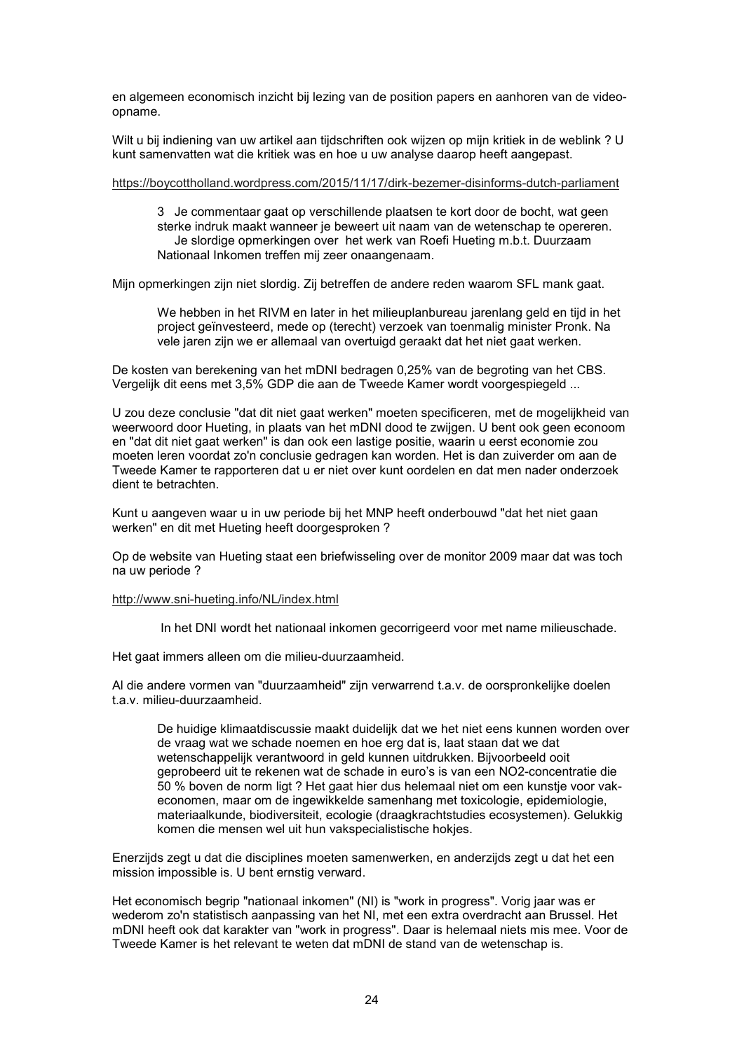en algemeen economisch inzicht bij lezing van de position papers en aanhoren van de videoopname.

Wilt u bij indiening van uw artikel aan tijdschriften ook wijzen op mijn kritiek in de weblink ? U kunt samenvatten wat die kritiek was en hoe u uw analyse daarop heeft aangepast.

#### https://boycottholland.wordpress.com/2015/11/17/dirk-bezemer-disinforms-dutch-parliament

3 Je commentaar gaat op verschillende plaatsen te kort door de bocht, wat geen sterke indruk maakt wanneer je beweert uit naam van de wetenschap te opereren. Je slordige opmerkingen over het werk van Roefi Hueting m.b.t. Duurzaam Nationaal Inkomen treffen mij zeer onaangenaam.

Mijn opmerkingen zijn niet slordig. Zij betreffen de andere reden waarom SFL mank gaat.

We hebben in het RIVM en later in het milieuplanbureau jarenlang geld en tijd in het project geïnvesteerd, mede op (terecht) verzoek van toenmalig minister Pronk. Na vele jaren zijn we er allemaal van overtuigd geraakt dat het niet gaat werken.

De kosten van berekening van het mDNI bedragen 0,25% van de begroting van het CBS. Vergelijk dit eens met 3,5% GDP die aan de Tweede Kamer wordt voorgespiegeld ...

U zou deze conclusie "dat dit niet gaat werken" moeten specificeren, met de mogelijkheid van weerwoord door Hueting, in plaats van het mDNI dood te zwijgen. U bent ook geen econoom en "dat dit niet gaat werken" is dan ook een lastige positie, waarin u eerst economie zou moeten leren voordat zo'n conclusie gedragen kan worden. Het is dan zuiverder om aan de Tweede Kamer te rapporteren dat u er niet over kunt oordelen en dat men nader onderzoek dient te betrachten.

Kunt u aangeven waar u in uw periode bij het MNP heeft onderbouwd "dat het niet gaan werken" en dit met Hueting heeft doorgesproken ?

Op de website van Hueting staat een briefwisseling over de monitor 2009 maar dat was toch na uw periode ?

#### http://www.sni-hueting.info/NL/index.html

In het DNI wordt het nationaal inkomen gecorrigeerd voor met name milieuschade.

Het gaat immers alleen om die milieu-duurzaamheid.

Al die andere vormen van "duurzaamheid" zijn verwarrend t.a.v. de oorspronkelijke doelen t.a.v. milieu-duurzaamheid.

De huidige klimaatdiscussie maakt duidelijk dat we het niet eens kunnen worden over de vraag wat we schade noemen en hoe erg dat is, laat staan dat we dat wetenschappelijk verantwoord in geld kunnen uitdrukken. Bijvoorbeeld ooit geprobeerd uit te rekenen wat de schade in euro's is van een NO2-concentratie die 50 % boven de norm ligt ? Het gaat hier dus helemaal niet om een kunstje voor vakeconomen, maar om de ingewikkelde samenhang met toxicologie, epidemiologie, materiaalkunde, biodiversiteit, ecologie (draagkrachtstudies ecosystemen). Gelukkig komen die mensen wel uit hun vakspecialistische hokjes.

Enerzijds zegt u dat die disciplines moeten samenwerken, en anderzijds zegt u dat het een mission impossible is. U bent ernstig verward.

Het economisch begrip "nationaal inkomen" (NI) is "work in progress". Vorig jaar was er wederom zo'n statistisch aanpassing van het NI, met een extra overdracht aan Brussel. Het mDNI heeft ook dat karakter van "work in progress". Daar is helemaal niets mis mee. Voor de Tweede Kamer is het relevant te weten dat mDNI de stand van de wetenschap is.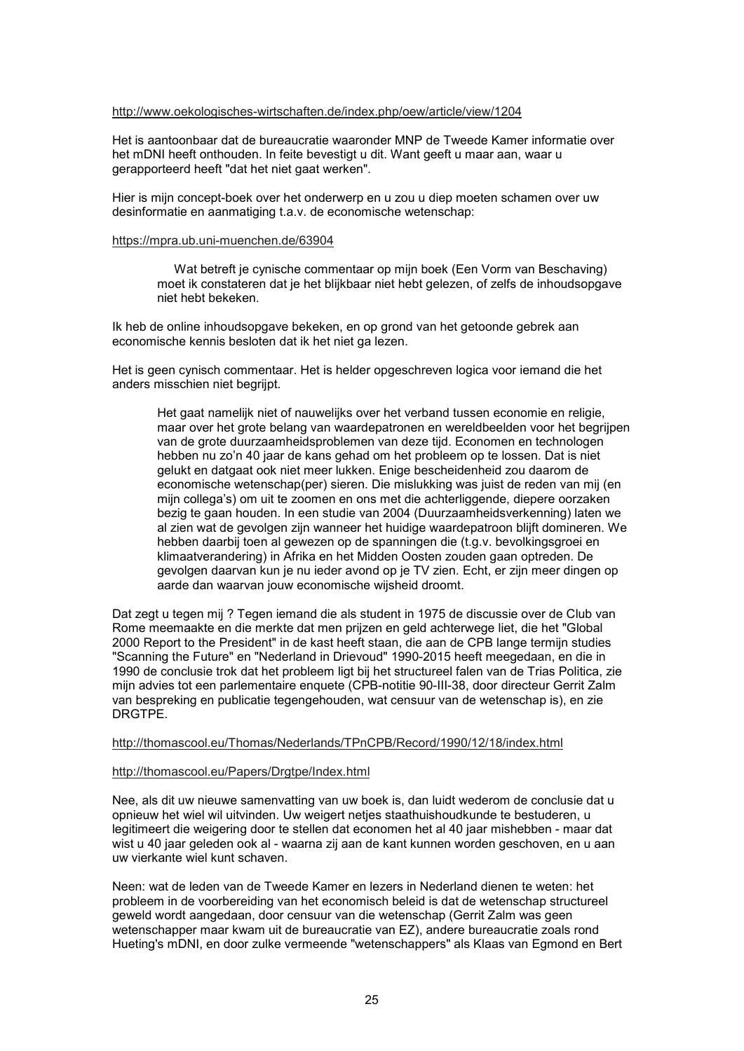### http://www.oekologisches-wirtschaften.de/index.php/oew/article/view/1204

Het is aantoonbaar dat de bureaucratie waaronder MNP de Tweede Kamer informatie over het mDNI heeft onthouden. In feite bevestigt u dit. Want geeft u maar aan, waar u gerapporteerd heeft "dat het niet gaat werken".

Hier is mijn concept-boek over het onderwerp en u zou u diep moeten schamen over uw desinformatie en aanmatiging t.a.v. de economische wetenschap:

#### https://mpra.ub.uni-muenchen.de/63904

 Wat betreft je cynische commentaar op mijn boek (Een Vorm van Beschaving) moet ik constateren dat je het blijkbaar niet hebt gelezen, of zelfs de inhoudsopgave niet hebt bekeken.

Ik heb de online inhoudsopgave bekeken, en op grond van het getoonde gebrek aan economische kennis besloten dat ik het niet ga lezen.

Het is geen cynisch commentaar. Het is helder opgeschreven logica voor iemand die het anders misschien niet begrijpt.

Het gaat namelijk niet of nauwelijks over het verband tussen economie en religie, maar over het grote belang van waardepatronen en wereldbeelden voor het begrijpen van de grote duurzaamheidsproblemen van deze tijd. Economen en technologen hebben nu zo'n 40 jaar de kans gehad om het probleem op te lossen. Dat is niet gelukt en datgaat ook niet meer lukken. Enige bescheidenheid zou daarom de economische wetenschap(per) sieren. Die mislukking was juist de reden van mij (en mijn collega's) om uit te zoomen en ons met die achterliggende, diepere oorzaken bezig te gaan houden. In een studie van 2004 (Duurzaamheidsverkenning) laten we al zien wat de gevolgen zijn wanneer het huidige waardepatroon blijft domineren. We hebben daarbij toen al gewezen op de spanningen die (t.g.v. bevolkingsgroei en klimaatverandering) in Afrika en het Midden Oosten zouden gaan optreden. De gevolgen daarvan kun je nu ieder avond op je TV zien. Echt, er zijn meer dingen op aarde dan waarvan jouw economische wijsheid droomt.

Dat zegt u tegen mij ? Tegen iemand die als student in 1975 de discussie over de Club van Rome meemaakte en die merkte dat men prijzen en geld achterwege liet, die het "Global 2000 Report to the President" in de kast heeft staan, die aan de CPB lange termijn studies "Scanning the Future" en "Nederland in Drievoud" 1990-2015 heeft meegedaan, en die in 1990 de conclusie trok dat het probleem ligt bij het structureel falen van de Trias Politica, zie mijn advies tot een parlementaire enquete (CPB-notitie 90-III-38, door directeur Gerrit Zalm van bespreking en publicatie tegengehouden, wat censuur van de wetenschap is), en zie DRGTPE.

### http://thomascool.eu/Thomas/Nederlands/TPnCPB/Record/1990/12/18/index.html

### http://thomascool.eu/Papers/Drgtpe/Index.html

Nee, als dit uw nieuwe samenvatting van uw boek is, dan luidt wederom de conclusie dat u opnieuw het wiel wil uitvinden. Uw weigert netjes staathuishoudkunde te bestuderen, u legitimeert die weigering door te stellen dat economen het al 40 jaar mishebben - maar dat wist u 40 jaar geleden ook al - waarna zij aan de kant kunnen worden geschoven, en u aan uw vierkante wiel kunt schaven.

Neen: wat de leden van de Tweede Kamer en lezers in Nederland dienen te weten: het probleem in de voorbereiding van het economisch beleid is dat de wetenschap structureel geweld wordt aangedaan, door censuur van die wetenschap (Gerrit Zalm was geen wetenschapper maar kwam uit de bureaucratie van EZ), andere bureaucratie zoals rond Hueting's mDNI, en door zulke vermeende "wetenschappers" als Klaas van Egmond en Bert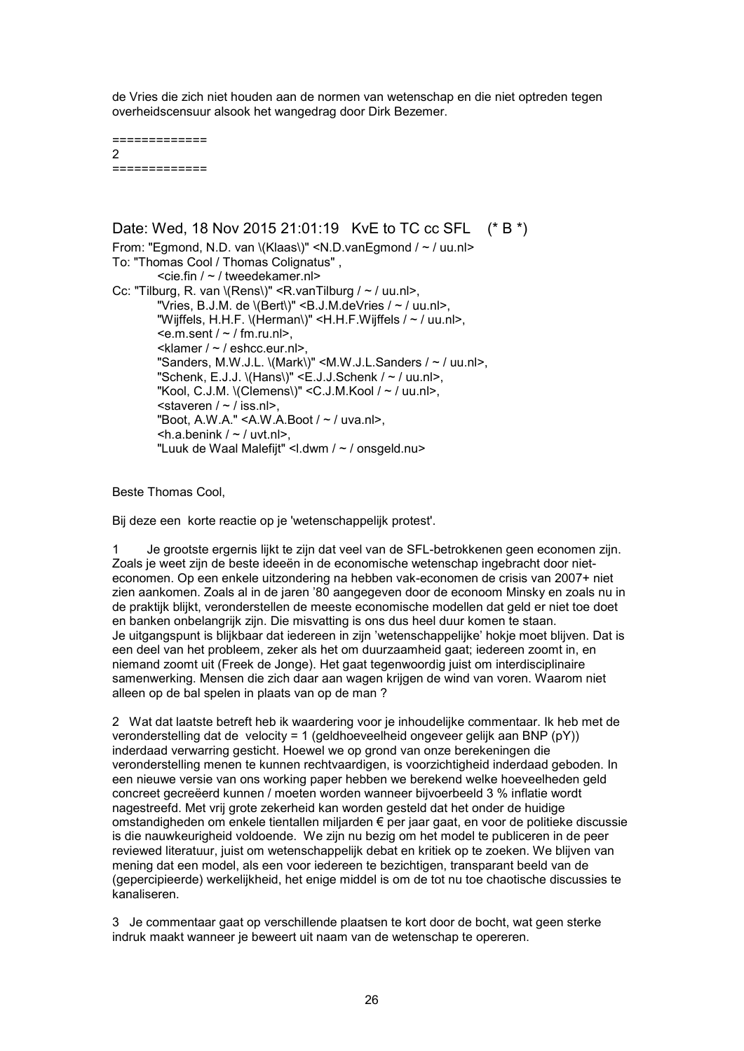de Vries die zich niet houden aan de normen van wetenschap en die niet optreden tegen overheidscensuur alsook het wangedrag door Dirk Bezemer.

============= 2 =============

Date: Wed, 18 Nov 2015 21:01:19 KvE to TC cc SFL (\* B \*) From: "Egmond, N.D. van \(Klaas\)" <N.D.vanEgmond / ~ / uu.nl> To: "Thomas Cool / Thomas Colignatus" , <cie.fin / ~ / tweedekamer.nl> Cc: "Tilburg, R. van  $\langle$ Rens $\rangle$ " <R. van Tilburg / ~ / uu.nl>, "Vries, B.J.M. de  $\langle$ Bert $\rangle$ " <B.J.M. deVries / ~ / uu.nl>, "Wijffels, H.H.F. \(Herman\)" <H.H.F.Wijffels / ~ / uu.nl>,  $\leq$ e.m.sent /  $\sim$  / fm.ru.nl>, <klamer / ~ / eshcc.eur.nl>, "Sanders, M.W.J.L. \(Mark\)" <M.W.J.L.Sanders / ~ / uu.nl>, "Schenk, E.J.J.  $\langle$ Hans $\rangle$ " <E.J.J.Schenk / ~ / uu.nl>, "Kool, C.J.M.  $(C\cap B)$ " <C.J.M.Kool / ~ / uu.nl>,  $\leq$ staveren /  $\sim$  / iss.nl>, "Boot, A.W.A." < A.W.A.Boot /  $\sim$  / uva.nl>,  $\langle h.a.benink / \sim /$  uvt.nl>. "Luuk de Waal Malefiit" <l.dwm / ~ / onsgeld.nu>

Beste Thomas Cool,

Bij deze een korte reactie op je 'wetenschappelijk protest'.

Je grootste ergernis lijkt te zijn dat veel van de SFL-betrokkenen geen economen zijn. Zoals je weet zijn de beste ideeën in de economische wetenschap ingebracht door nieteconomen. Op een enkele uitzondering na hebben vak-economen de crisis van 2007+ niet zien aankomen. Zoals al in de jaren '80 aangegeven door de econoom Minsky en zoals nu in de praktijk blijkt, veronderstellen de meeste economische modellen dat geld er niet toe doet en banken onbelangrijk zijn. Die misvatting is ons dus heel duur komen te staan. Je uitgangspunt is blijkbaar dat iedereen in zijn 'wetenschappelijke' hokje moet blijven. Dat is een deel van het probleem, zeker als het om duurzaamheid gaat; iedereen zoomt in, en niemand zoomt uit (Freek de Jonge). Het gaat tegenwoordig juist om interdisciplinaire samenwerking. Mensen die zich daar aan wagen krijgen de wind van voren. Waarom niet alleen op de bal spelen in plaats van op de man ?

2 Wat dat laatste betreft heb ik waardering voor je inhoudelijke commentaar. Ik heb met de veronderstelling dat de velocity = 1 (geldhoeveelheid ongeveer gelijk aan BNP (pY)) inderdaad verwarring gesticht. Hoewel we op grond van onze berekeningen die veronderstelling menen te kunnen rechtvaardigen, is voorzichtigheid inderdaad geboden. In een nieuwe versie van ons working paper hebben we berekend welke hoeveelheden geld concreet gecreëerd kunnen / moeten worden wanneer bijvoerbeeld 3 % inflatie wordt nagestreefd. Met vrij grote zekerheid kan worden gesteld dat het onder de huidige omstandigheden om enkele tientallen miljarden € per jaar gaat, en voor de politieke discussie is die nauwkeurigheid voldoende. We zijn nu bezig om het model te publiceren in de peer reviewed literatuur, juist om wetenschappelijk debat en kritiek op te zoeken. We blijven van mening dat een model, als een voor iedereen te bezichtigen, transparant beeld van de (gepercipieerde) werkelijkheid, het enige middel is om de tot nu toe chaotische discussies te kanaliseren.

3 Je commentaar gaat op verschillende plaatsen te kort door de bocht, wat geen sterke indruk maakt wanneer je beweert uit naam van de wetenschap te opereren.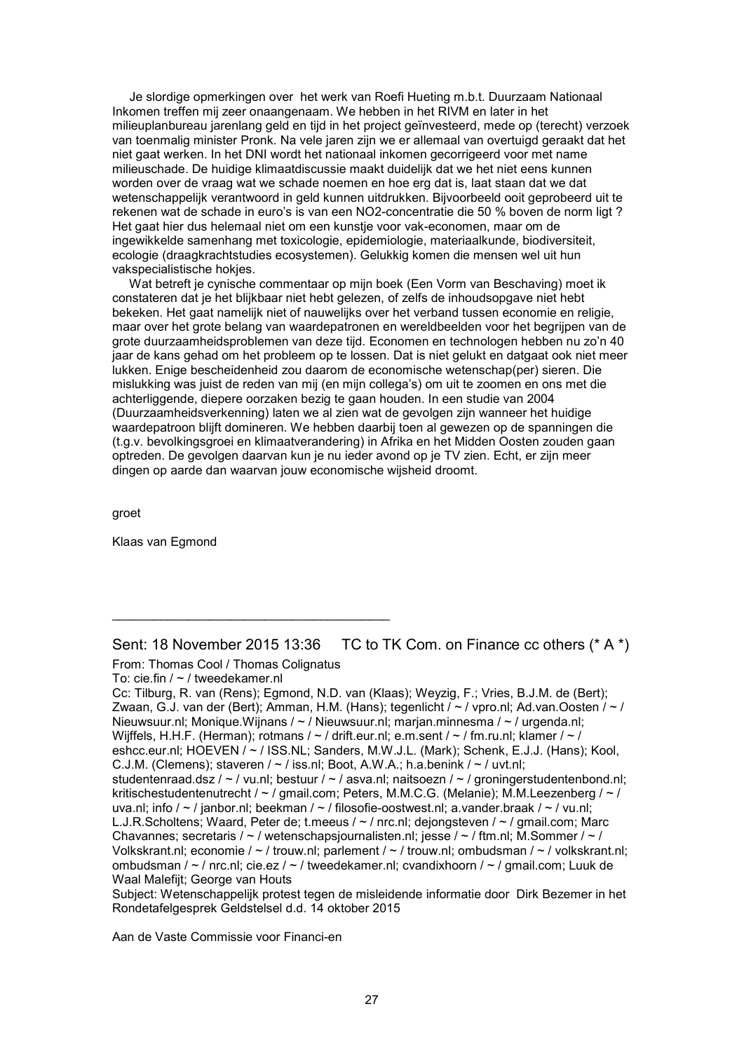Je slordige opmerkingen over het werk van Roefi Hueting m.b.t. Duurzaam Nationaal Inkomen treffen mij zeer onaangenaam. We hebben in het RIVM en later in het milieuplanbureau jarenlang geld en tijd in het project geïnvesteerd, mede op (terecht) verzoek van toenmalig minister Pronk. Na vele jaren zijn we er allemaal van overtuigd geraakt dat het niet gaat werken. In het DNI wordt het nationaal inkomen gecorrigeerd voor met name milieuschade. De huidige klimaatdiscussie maakt duidelijk dat we het niet eens kunnen worden over de vraag wat we schade noemen en hoe erg dat is, laat staan dat we dat wetenschappelijk verantwoord in geld kunnen uitdrukken. Bijvoorbeeld ooit geprobeerd uit te rekenen wat de schade in euro's is van een NO2-concentratie die 50 % boven de norm ligt ? Het gaat hier dus helemaal niet om een kunstje voor vak-economen, maar om de ingewikkelde samenhang met toxicologie, epidemiologie, materiaalkunde, biodiversiteit, ecologie (draagkrachtstudies ecosystemen). Gelukkig komen die mensen wel uit hun vakspecialistische hokjes.

 Wat betreft je cynische commentaar op mijn boek (Een Vorm van Beschaving) moet ik constateren dat je het blijkbaar niet hebt gelezen, of zelfs de inhoudsopgave niet hebt bekeken. Het gaat namelijk niet of nauwelijks over het verband tussen economie en religie, maar over het grote belang van waardepatronen en wereldbeelden voor het begrijpen van de grote duurzaamheidsproblemen van deze tijd. Economen en technologen hebben nu zo'n 40 jaar de kans gehad om het probleem op te lossen. Dat is niet gelukt en datgaat ook niet meer lukken. Enige bescheidenheid zou daarom de economische wetenschap(per) sieren. Die mislukking was juist de reden van mij (en mijn collega's) om uit te zoomen en ons met die achterliggende, diepere oorzaken bezig te gaan houden. In een studie van 2004 (Duurzaamheidsverkenning) laten we al zien wat de gevolgen zijn wanneer het huidige waardepatroon blijft domineren. We hebben daarbij toen al gewezen op de spanningen die (t.g.v. bevolkingsgroei en klimaatverandering) in Afrika en het Midden Oosten zouden gaan optreden. De gevolgen daarvan kun je nu ieder avond op je TV zien. Echt, er zijn meer dingen op aarde dan waarvan jouw economische wijsheid droomt.

groet

Klaas van Egmond

Sent: 18 November 2015 13:36 TC to TK Com. on Finance cc others (\* A \*)

From: Thomas Cool / Thomas Colignatus

\_\_\_\_\_\_\_\_\_\_\_\_\_\_\_\_\_\_\_\_\_\_\_\_\_\_\_\_\_\_\_\_\_\_\_\_\_\_\_\_

To: cie.fin / ~ / tweedekamer.nl

Cc: Tilburg, R. van (Rens); Egmond, N.D. van (Klaas); Weyzig, F.; Vries, B.J.M. de (Bert); Zwaan, G.J. van der (Bert); Amman, H.M. (Hans); tegenlicht /  $\sim$  / vpro.nl; Ad.van.Oosten /  $\sim$  / Nieuwsuur.nl; Monique.Wijnans / ~ / Nieuwsuur.nl; marjan.minnesma / ~ / urgenda.nl; Wijffels, H.H.F. (Herman); rotmans /  $\sim$  / drift.eur.nl; e.m.sent /  $\sim$  / fm.ru.nl; klamer /  $\sim$  / eshcc.eur.nl; HOEVEN / ~ / ISS.NL; Sanders, M.W.J.L. (Mark); Schenk, E.J.J. (Hans); Kool, C.J.M. (Clemens); staveren  $/ \sim /$  iss.nl; Boot, A.W.A.; h.a.benink  $/ \sim /$  uvt.nl; studentenraad.dsz / ~ / vu.nl; bestuur / ~ / asva.nl; naitsoezn / ~ / groningerstudentenbond.nl; kritischestudentenutrecht / ~ / gmail.com; Peters, M.M.C.G. (Melanie); M.M.Leezenberg / ~ / uva.nl; info /  $\sim$  / janbor.nl; beekman /  $\sim$  / filosofie-oostwest.nl; a.vander.braak /  $\sim$  / vu.nl; L.J.R.Scholtens; Waard, Peter de; t.meeus / ~ / nrc.nl; dejongsteven / ~ / gmail.com; Marc Chavannes; secretaris / ~ / wetenschapsjournalisten.nl; jesse / ~ / ftm.nl; M.Sommer / ~ / Volkskrant.nl; economie / ~ / trouw.nl; parlement / ~ / trouw.nl; ombudsman / ~ / volkskrant.nl; ombudsman / ~ / nrc.nl; cie.ez / ~ / tweedekamer.nl; cvandixhoorn / ~ / gmail.com; Luuk de Waal Malefijt; George van Houts

Subject: Wetenschappelijk protest tegen de misleidende informatie door Dirk Bezemer in het Rondetafelgesprek Geldstelsel d.d. 14 oktober 2015

Aan de Vaste Commissie voor Financi-en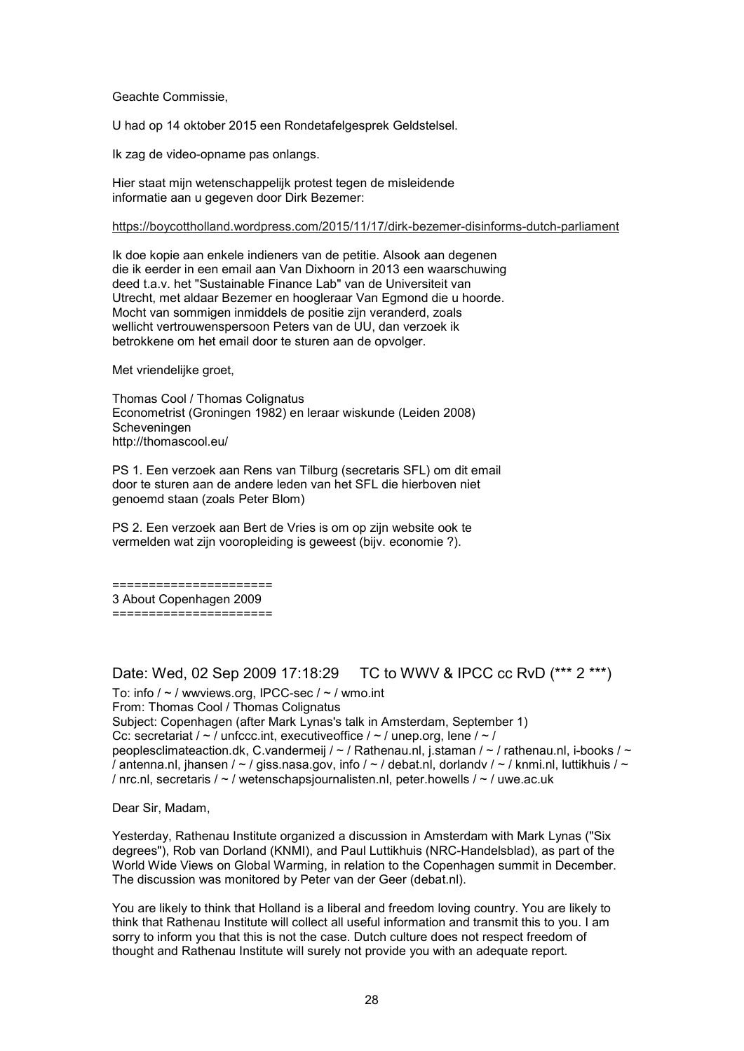### Geachte Commissie,

U had op 14 oktober 2015 een Rondetafelgesprek Geldstelsel.

Ik zag de video-opname pas onlangs.

Hier staat mijn wetenschappelijk protest tegen de misleidende informatie aan u gegeven door Dirk Bezemer:

#### https://boycottholland.wordpress.com/2015/11/17/dirk-bezemer-disinforms-dutch-parliament

Ik doe kopie aan enkele indieners van de petitie. Alsook aan degenen die ik eerder in een email aan Van Dixhoorn in 2013 een waarschuwing deed t.a.v. het "Sustainable Finance Lab" van de Universiteit van Utrecht, met aldaar Bezemer en hoogleraar Van Egmond die u hoorde. Mocht van sommigen inmiddels de positie zijn veranderd, zoals wellicht vertrouwenspersoon Peters van de UU, dan verzoek ik betrokkene om het email door te sturen aan de opvolger.

Met vriendelijke groet,

Thomas Cool / Thomas Colignatus Econometrist (Groningen 1982) en leraar wiskunde (Leiden 2008) Scheveningen http://thomascool.eu/

PS 1. Een verzoek aan Rens van Tilburg (secretaris SFL) om dit email door te sturen aan de andere leden van het SFL die hierboven niet genoemd staan (zoals Peter Blom)

PS 2. Een verzoek aan Bert de Vries is om op zijn website ook te vermelden wat zijn vooropleiding is geweest (bijv. economie ?).

====================== 3 About Copenhagen 2009 ======================

### Date: Wed, 02 Sep 2009 17:18:29 TC to WWV & IPCC cc RvD (\*\*\* 2 \*\*\*)

To: info  $/ \sim /$  wwviews.org, IPCC-sec  $/ \sim /$  wmo.int From: Thomas Cool / Thomas Colignatus Subject: Copenhagen (after Mark Lynas's talk in Amsterdam, September 1) Cc: secretariat /  $\sim$  / unfccc.int, executiveoffice /  $\sim$  / unep.org, lene /  $\sim$  / peoplesclimateaction.dk, C.vandermeij / ~ / Rathenau.nl, j.staman / ~ / rathenau.nl, i-books / ~ / antenna.nl, jhansen /  $\sim$  / giss.nasa.gov, info /  $\sim$  / debat.nl, dorlandv /  $\sim$  / knmi.nl, luttikhuis /  $\sim$ / nrc.nl, secretaris / ~ / wetenschapsjournalisten.nl, peter.howells / ~ / uwe.ac.uk

Dear Sir, Madam,

Yesterday, Rathenau Institute organized a discussion in Amsterdam with Mark Lynas ("Six degrees"), Rob van Dorland (KNMI), and Paul Luttikhuis (NRC-Handelsblad), as part of the World Wide Views on Global Warming, in relation to the Copenhagen summit in December. The discussion was monitored by Peter van der Geer (debat.nl).

You are likely to think that Holland is a liberal and freedom loving country. You are likely to think that Rathenau Institute will collect all useful information and transmit this to you. I am sorry to inform you that this is not the case. Dutch culture does not respect freedom of thought and Rathenau Institute will surely not provide you with an adequate report.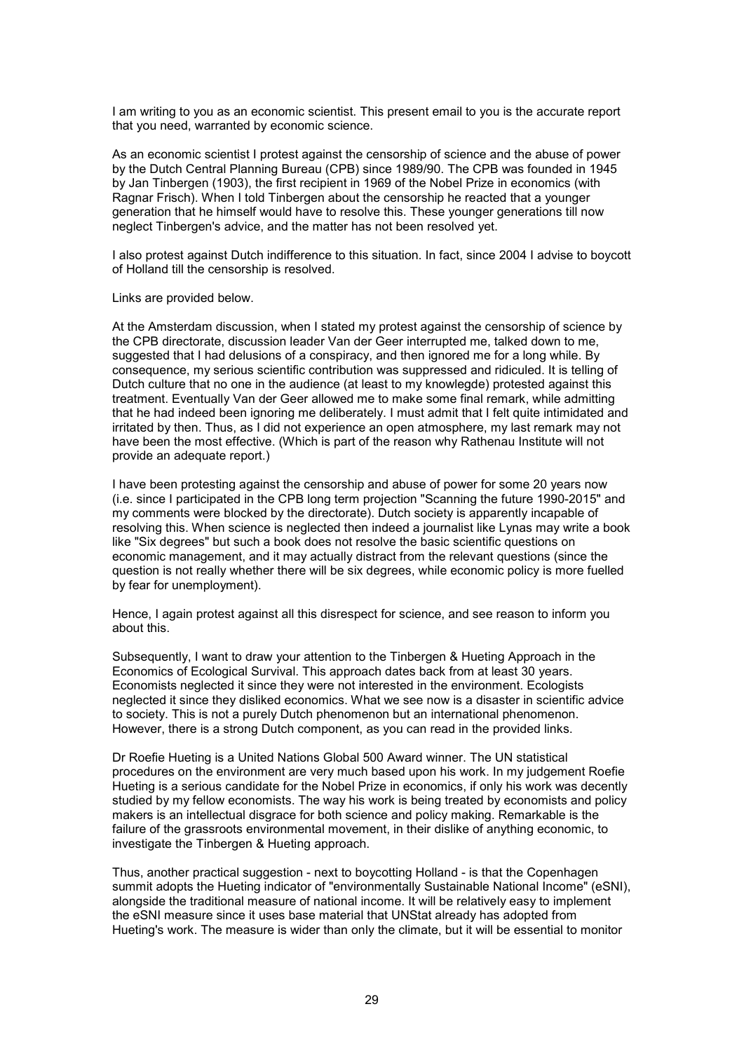I am writing to you as an economic scientist. This present email to you is the accurate report that you need, warranted by economic science.

As an economic scientist I protest against the censorship of science and the abuse of power by the Dutch Central Planning Bureau (CPB) since 1989/90. The CPB was founded in 1945 by Jan Tinbergen (1903), the first recipient in 1969 of the Nobel Prize in economics (with Ragnar Frisch). When I told Tinbergen about the censorship he reacted that a younger generation that he himself would have to resolve this. These younger generations till now neglect Tinbergen's advice, and the matter has not been resolved yet.

I also protest against Dutch indifference to this situation. In fact, since 2004 I advise to boycott of Holland till the censorship is resolved.

Links are provided below.

At the Amsterdam discussion, when I stated my protest against the censorship of science by the CPB directorate, discussion leader Van der Geer interrupted me, talked down to me, suggested that I had delusions of a conspiracy, and then ignored me for a long while. By consequence, my serious scientific contribution was suppressed and ridiculed. It is telling of Dutch culture that no one in the audience (at least to my knowlegde) protested against this treatment. Eventually Van der Geer allowed me to make some final remark, while admitting that he had indeed been ignoring me deliberately. I must admit that I felt quite intimidated and irritated by then. Thus, as I did not experience an open atmosphere, my last remark may not have been the most effective. (Which is part of the reason why Rathenau Institute will not provide an adequate report.)

I have been protesting against the censorship and abuse of power for some 20 years now (i.e. since I participated in the CPB long term projection "Scanning the future 1990-2015" and my comments were blocked by the directorate). Dutch society is apparently incapable of resolving this. When science is neglected then indeed a journalist like Lynas may write a book like "Six degrees" but such a book does not resolve the basic scientific questions on economic management, and it may actually distract from the relevant questions (since the question is not really whether there will be six degrees, while economic policy is more fuelled by fear for unemployment).

Hence, I again protest against all this disrespect for science, and see reason to inform you about this.

Subsequently, I want to draw your attention to the Tinbergen & Hueting Approach in the Economics of Ecological Survival. This approach dates back from at least 30 years. Economists neglected it since they were not interested in the environment. Ecologists neglected it since they disliked economics. What we see now is a disaster in scientific advice to society. This is not a purely Dutch phenomenon but an international phenomenon. However, there is a strong Dutch component, as you can read in the provided links.

Dr Roefie Hueting is a United Nations Global 500 Award winner. The UN statistical procedures on the environment are very much based upon his work. In my judgement Roefie Hueting is a serious candidate for the Nobel Prize in economics, if only his work was decently studied by my fellow economists. The way his work is being treated by economists and policy makers is an intellectual disgrace for both science and policy making. Remarkable is the failure of the grassroots environmental movement, in their dislike of anything economic, to investigate the Tinbergen & Hueting approach.

Thus, another practical suggestion - next to boycotting Holland - is that the Copenhagen summit adopts the Hueting indicator of "environmentally Sustainable National Income" (eSNI), alongside the traditional measure of national income. It will be relatively easy to implement the eSNI measure since it uses base material that UNStat already has adopted from Hueting's work. The measure is wider than only the climate, but it will be essential to monitor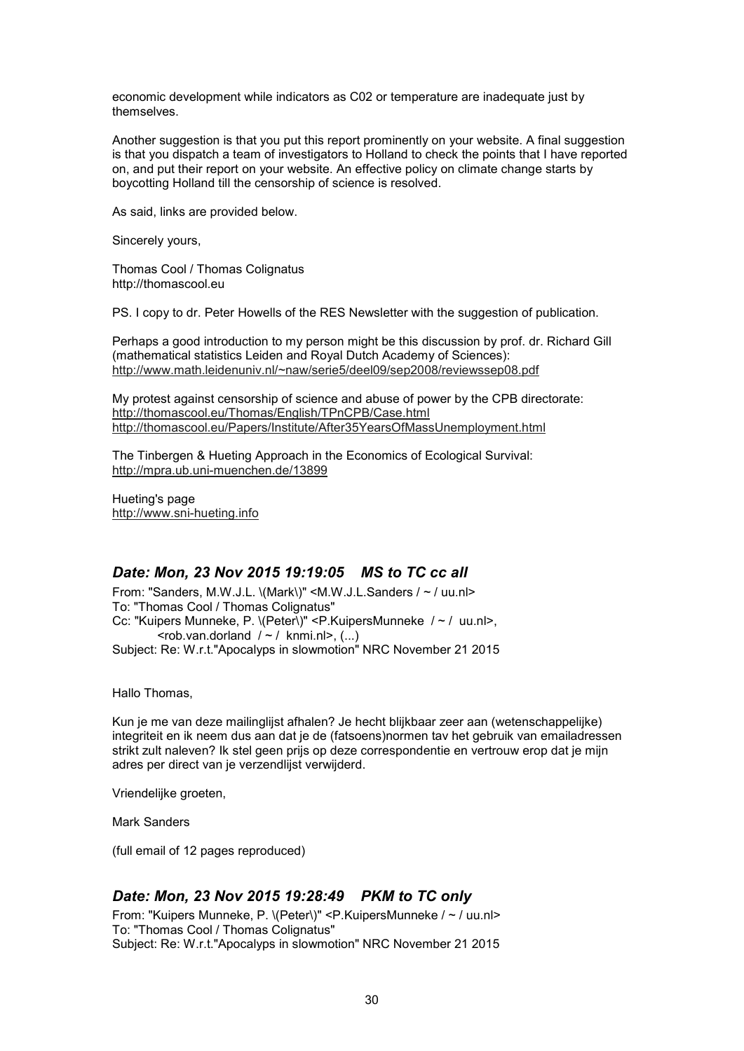economic development while indicators as C02 or temperature are inadequate just by themselves.

Another suggestion is that you put this report prominently on your website. A final suggestion is that you dispatch a team of investigators to Holland to check the points that I have reported on, and put their report on your website. An effective policy on climate change starts by boycotting Holland till the censorship of science is resolved.

As said, links are provided below.

Sincerely yours,

Thomas Cool / Thomas Colignatus http://thomascool.eu

PS. I copy to dr. Peter Howells of the RES Newsletter with the suggestion of publication.

Perhaps a good introduction to my person might be this discussion by prof. dr. Richard Gill (mathematical statistics Leiden and Royal Dutch Academy of Sciences): http://www.math.leidenuniv.nl/~naw/serie5/deel09/sep2008/reviewssep08.pdf

My protest against censorship of science and abuse of power by the CPB directorate: http://thomascool.eu/Thomas/English/TPnCPB/Case.html http://thomascool.eu/Papers/Institute/After35YearsOfMassUnemployment.html

The Tinbergen & Hueting Approach in the Economics of Ecological Survival: http://mpra.ub.uni-muenchen.de/13899

Hueting's page http://www.sni-hueting.info

### *Date: Mon, 23 Nov 2015 19:19:05 MS to TC cc all*

From: "Sanders, M.W.J.L. \(Mark\)" <M.W.J.L.Sanders / ~ / uu.nl> To: "Thomas Cool / Thomas Colignatus" Cc: "Kuipers Munneke, P. \(Peter\)" <P.KuipersMunneke / ~ / uu.nl>,  $\leq$ rob.van.dorland  $\neq$  / knmi.nl>, (...) Subject: Re: W.r.t."Apocalyps in slowmotion" NRC November 21 2015

Hallo Thomas,

Kun je me van deze mailinglijst afhalen? Je hecht blijkbaar zeer aan (wetenschappelijke) integriteit en ik neem dus aan dat je de (fatsoens)normen tav het gebruik van emailadressen strikt zult naleven? Ik stel geen prijs op deze correspondentie en vertrouw erop dat je mijn adres per direct van je verzendlijst verwijderd.

Vriendelijke groeten,

Mark Sanders

(full email of 12 pages reproduced)

## *Date: Mon, 23 Nov 2015 19:28:49 PKM to TC only*

From: "Kuipers Munneke, P. \(Peter\)" <P.KuipersMunneke / ~ / uu.nl> To: "Thomas Cool / Thomas Colignatus" Subject: Re: W.r.t."Apocalyps in slowmotion" NRC November 21 2015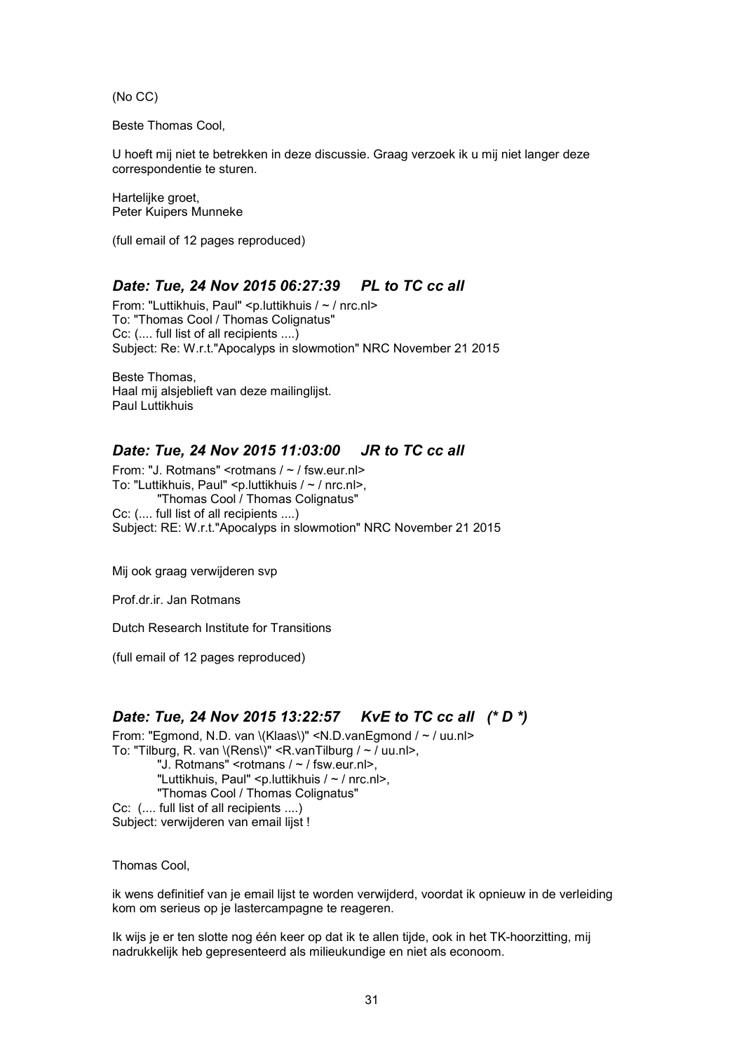(No CC)

Beste Thomas Cool,

U hoeft mij niet te betrekken in deze discussie. Graag verzoek ik u mij niet langer deze correspondentie te sturen.

Hartelijke groet, Peter Kuipers Munneke

(full email of 12 pages reproduced)

## *Date: Tue, 24 Nov 2015 06:27:39 PL to TC cc all*

From: "Luttikhuis, Paul" <p.luttikhuis / ~ / nrc.nl> To: "Thomas Cool / Thomas Colignatus" Cc: (.... full list of all recipients ....) Subject: Re: W.r.t."Apocalyps in slowmotion" NRC November 21 2015

Beste Thomas, Haal mij alsjeblieft van deze mailinglijst. Paul Luttikhuis

## *Date: Tue, 24 Nov 2015 11:03:00 JR to TC cc all*

From: "J. Rotmans" < $rotmans / \sim /$  fsw.eur.nl> To: "Luttikhuis, Paul" <p.luttikhuis / ~ / nrc.nl>, "Thomas Cool / Thomas Colignatus" Cc: (.... full list of all recipients ....) Subject: RE: W.r.t."Apocalyps in slowmotion" NRC November 21 2015

Mij ook graag verwijderen svp

Prof.dr.ir. Jan Rotmans

Dutch Research Institute for Transitions

(full email of 12 pages reproduced)

## *Date: Tue, 24 Nov 2015 13:22:57 KvE to TC cc all (\* D \*)*

From: "Egmond, N.D. van \(Klaas\)" <N.D.vanEgmond / ~ / uu.nl> To: "Tilburg, R. van \(Rens\)" <R.vanTilburg / ~ / uu.nl>, "J. Rotmans" <rotmans / ~ / fsw.eur.nl>, "Luttikhuis, Paul" <p.luttikhuis / ~ / nrc.nl>, "Thomas Cool / Thomas Colignatus" Cc: (.... full list of all recipients ....) Subject: verwijderen van email lijst !

Thomas Cool,

ik wens definitief van je email lijst te worden verwijderd, voordat ik opnieuw in de verleiding kom om serieus op je lastercampagne te reageren.

Ik wijs je er ten slotte nog één keer op dat ik te allen tijde, ook in het TK-hoorzitting, mij nadrukkelijk heb gepresenteerd als milieukundige en niet als econoom.